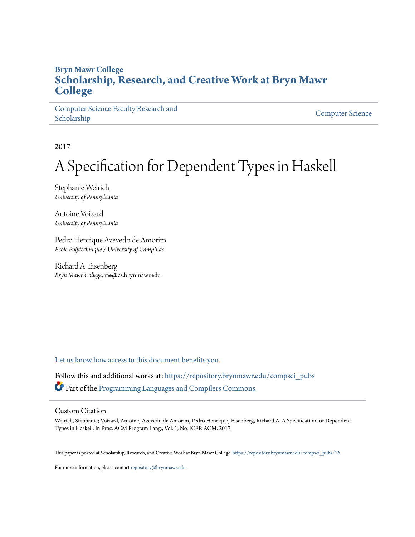# **Bryn Mawr College [Scholarship, Research, and Creative Work at Bryn Mawr](https://repository.brynmawr.edu?utm_source=repository.brynmawr.edu%2Fcompsci_pubs%2F76&utm_medium=PDF&utm_campaign=PDFCoverPages) [College](https://repository.brynmawr.edu?utm_source=repository.brynmawr.edu%2Fcompsci_pubs%2F76&utm_medium=PDF&utm_campaign=PDFCoverPages)**

[Computer Science Faculty Research and](https://repository.brynmawr.edu/compsci_pubs?utm_source=repository.brynmawr.edu%2Fcompsci_pubs%2F76&utm_medium=PDF&utm_campaign=PDFCoverPages) [Scholarship](https://repository.brynmawr.edu/compsci_pubs?utm_source=repository.brynmawr.edu%2Fcompsci_pubs%2F76&utm_medium=PDF&utm_campaign=PDFCoverPages) [Computer Science](https://repository.brynmawr.edu/compsci?utm_source=repository.brynmawr.edu%2Fcompsci_pubs%2F76&utm_medium=PDF&utm_campaign=PDFCoverPages) Scholarship Computer Science Scholarship Computer Science Scholarship

2017

# A Specification for Dependent Types in Haskell

Stephanie Weirich *University of Pennsylvania*

Antoine Voizard *University of Pennsylvania*

Pedro Henrique Azevedo de Amorim *Ecole Polytechnique / University of Campinas*

Richard A. Eisenberg *Bryn Mawr College*, rae@cs.brynmawr.edu

[Let us know how access to this document benefits you.](http://repository.brynmawr.edu/open-access-feedback.html)

Follow this and additional works at: [https://repository.brynmawr.edu/compsci\\_pubs](https://repository.brynmawr.edu/compsci_pubs?utm_source=repository.brynmawr.edu%2Fcompsci_pubs%2F76&utm_medium=PDF&utm_campaign=PDFCoverPages) Part of the [Programming Languages and Compilers Commons](http://network.bepress.com/hgg/discipline/148?utm_source=repository.brynmawr.edu%2Fcompsci_pubs%2F76&utm_medium=PDF&utm_campaign=PDFCoverPages)

Custom Citation

Weirich, Stephanie; Voizard, Antoine; Azevedo de Amorim, Pedro Henrique; Eisenberg, Richard A. A Specification for Dependent Types in Haskell. In Proc. ACM Program Lang., Vol. 1, No. ICFP. ACM, 2017.

This paper is posted at Scholarship, Research, and Creative Work at Bryn Mawr College. [https://repository.brynmawr.edu/compsci\\_pubs/76](https://repository.brynmawr.edu/compsci_pubs/76)

For more information, please contact [repository@brynmawr.edu](mailto:repository@brynmawr.edu).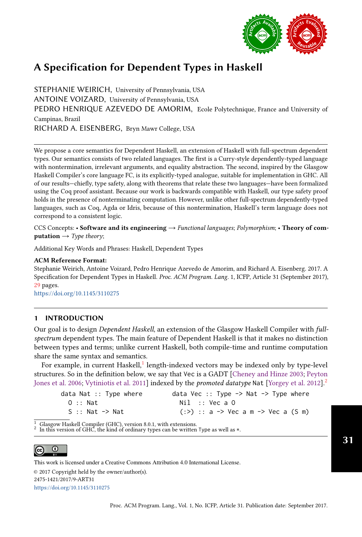

<span id="page-1-0"></span>STEPHANIE WEIRICH, University of Pennsylvania, USA ANTOINE VOIZARD, University of Pennsylvania, USA PEDRO HENRIQUE AZEVEDO DE AMORIM, Ecole Polytechnique, France and University of Campinas, Brazil RICHARD A. EISENBERG, Bryn Mawr College, USA

We propose a core semantics for Dependent Haskell, an extension of Haskell with full-spectrum dependent types. Our semantics consists of two related languages. The first is a Curry-style dependently-typed language with nontermination, irrelevant arguments, and equality abstraction. The second, inspired by the Glasgow Haskell Compiler's core language FC, is its explicitly-typed analogue, suitable for implementation in GHC. All of our results–chiefly, type safety, along with theorems that relate these two languages–have been formalized using the Coq proof assistant. Because our work is backwards compatible with Haskell, our type safety proof holds in the presence of nonterminating computation. However, unlike other full-spectrum dependently-typed languages, such as Coq, Agda or Idris, because of this nontermination, Haskell's term language does not correspond to a consistent logic.

CCS Concepts: • Software and its engineering  $\rightarrow$  Functional languages; Polymorphism; • Theory of com**putation**  $\rightarrow$  Type theory;

Additional Key Words and Phrases: Haskell, Dependent Types

#### ACM Reference Format:

Stephanie Weirich, Antoine Voizard, Pedro Henrique Azevedo de Amorim, and Richard A. Eisenberg. 2017. A Specification for Dependent Types in Haskell. Proc. ACM Program. Lang. 1, ICFP, Article 31 (September 2017), [29](#page-29-0) pages.

<https://doi.org/10.1145/3110275>

# 1 INTRODUCTION

Our goal is to design Dependent Haskell, an extension of the Glasgow Haskell Compiler with fullspectrum dependent types. The main feature of Dependent Haskell is that it makes no distinction between types and terms; unlike current Haskell, both compile-time and runtime computation share the same syntax and semantics.

For example, in current Haskell,<sup>1</sup> length-indexed vectors may be indexed only by type-level structures. So in the definition below, we say that Vec is a GADT [\[Cheney and Hinze 2003;](#page-27-0) [Peyton](#page-28-0) [Jones et al.](#page-28-0) [2006;](#page-28-0) [Vytiniotis et al.](#page-29-1) [2011\]](#page-29-1) indexed by the *promoted datatype* Nat [\[Yorgey et al.](#page-29-2) [2012\]](#page-29-2).<sup>2</sup>

| data Nat :: Type where | data Vec :: Type $\rightarrow$ Nat $\rightarrow$ Type where |
|------------------------|-------------------------------------------------------------|
| O :: Nat               | Nil :: Vec a 0                                              |
| S :: Nat -> Nat        | $(:>)$ :: a -> Vec a m -> Vec a (S m)                       |

Glasgow Haskell Compiler (GHC), version 8.0.1, with extensions.

2 In this version of GHC, the kind of ordinary types can be written Type as well as  $\star$ .



This work is licensed under a Creative Commons Attribution 4.0 International License.

© 2017 Copyright held by the owner/author(s). 2475-1421/2017/9-ART31 <https://doi.org/10.1145/3110275>

31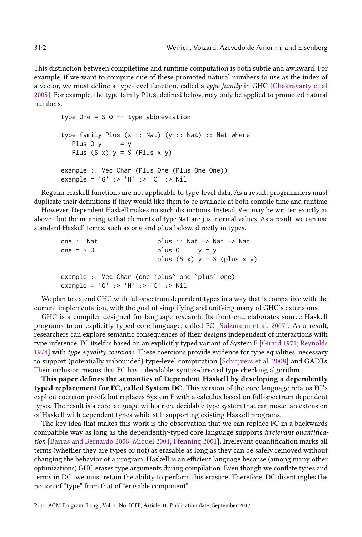This distinction between compiletime and runtime computation is both subtle and awkward. For example, if we want to compute one of these promoted natural numbers to use as the index of a vector, we must define a type-level function, called a type family in GHC [\[Chakravarty et al.](#page-27-1) [2005\]](#page-27-1). For example, the type family Plus, defined below, may only be applied to promoted natural numbers.

```
type One = S O -- type abbreviation
type family Plus (x :: Nat) (y :: Nat) :: Nat where
  Plus 0 y = yPlus (S \times) y = S (Plus x y)
example :: Vec Char (Plus One (Plus One One))
example = 'G' :> 'H' :> 'C' :> Nil
```
Regular Haskell functions are not applicable to type-level data. As a result, programmers must duplicate their definitions if they would like them to be available at both compile time and runtime.

However, Dependent Haskell makes no such distinctions. Instead, Vec may be written exactly as above—but the meaning is that elements of type Nat are just normal values. As a result, we can use standard Haskell terms, such as one and plus below, directly in types.

```
one :: Nat <br>plus :: Nat -> Nat -> Nat
one = \begin{array}{ccc} 5 & 0 \\ 0 & 0 \end{array} plus \begin{array}{ccc} 0 & y & = y \\ y & = & y \end{array}plus (S x) y = S (plus x y)example :: Vec Char (one `plus` one `plus` one)
example = 'G' :> 'H' :> 'C' :> Nil
```
We plan to extend GHC with full-spectrum dependent types in a way that is compatible with the current implementation, with the goal of simplifying and unifying many of GHC's extensions.

GHC is a compiler designed for language research. Its front-end elaborates source Haskell programs to an explicitly typed core language, called FC [\[Sulzmann et al.](#page-29-3) [2007\]](#page-29-3). As a result, researchers can explore semantic consequences of their designs independent of interactions with type inference. FC itself is based on an explicitly typed variant of System F [\[Girard 1971;](#page-28-1) [Reynolds](#page-28-2) [1974\]](#page-28-2) with type equality coercions. These coercions provide evidence for type equalities, necessary to support (potentially unbounded) type-level computation [\[Schrijvers et al.](#page-29-4) [2008\]](#page-29-4) and GADTs. Their inclusion means that FC has a decidable, syntax-directed type checking algorithm.

This paper defines the semantics of Dependent Haskell by developing a dependently typed replacement for FC, called System DC. This version of the core language retains FC's explicit coercion proofs but replaces System F with a calculus based on full-spectrum dependent types. The result is a core language with a rich, decidable type system that can model an extension of Haskell with dependent types while still supporting existing Haskell programs.

The key idea that makes this work is the observation that we can replace FC in a backwards compatible way as long as the dependently-typed core language supports irrelevant quantification [\[Barras and Bernardo 2008;](#page-27-2) [Miquel 2001;](#page-28-3) [Pfenning 2001\]](#page-28-4). Irrelevant quantification marks all terms (whether they are types or not) as erasable as long as they can be safely removed without changing the behavior of a program. Haskell is an efficient language because (among many other optimizations) GHC erases type arguments during compilation. Even though we conflate types and terms in DC, we must retain the ability to perform this erasure. Therefore, DC disentangles the notion of "type" from that of "erasable component".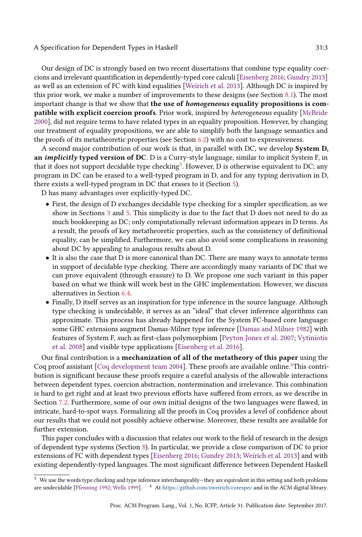Our design of DC is strongly based on two recent dissertations that combine type equality coercions and irrelevant quantification in dependently-typed core calculi [\[Eisenberg 2016;](#page-28-5) [Gundry 2013\]](#page-28-6) as well as an extension of FC with kind equalities [\[Weirich et al.](#page-29-5) [2013\]](#page-29-5). Although DC is inspired by this prior work, we make a number of improvements to these designs (see Section [8.1\)](#page-24-0). The most important change is that we show that the use of *homogeneous* equality propositions is com-patible with explicit coercion proofs. Prior work, inspired by heterogeneous equality [\[McBride](#page-28-7) [2000\]](#page-28-7), did not require terms to have related types in an equality proposition. However, by changing our treatment of equality propositions, we are able to simplify both the language semantics and the proofs of its metatheoretic properties (see Section [6.2\)](#page-21-0) with no cost to expressiveness.

A second major contribution of our work is that, in parallel with DC, we develop System D, an *implicitly* typed version of DC. D is a Curry-style language, similar to implicit System F, in that it does not support decidable type checking $^3$  $^3$ . However, D is otherwise equivalent to DC; any program in DC can be erased to a well-typed program in D, and for any typing derivation in D, there exists a well-typed program in DC that erases to it (Section [5\)](#page-13-0).

D has many advantages over explicitly-typed DC.

- First, the design of D exchanges decidable type checking for a simpler specification, as we show in Sections [3](#page-6-0) and [5.](#page-13-0) This simplicity is due to the fact that D does not need to do as much bookkeeping as DC; only computationally relevant information appears in D terms. As a result, the proofs of key metatheoretic properties, such as the consistency of definitional equality, can be simplified. Furthermore, we can also avoid some complications in reasoning about DC by appealing to analogous results about D.
- It is also the case that D is more canonical than DC. There are many ways to annotate terms in support of decidable type checking. There are accordingly many variants of DC that we can prove equivalent (through erasure) to D. We propose one such variant in this paper based on what we think will work best in the GHC implementation. However, we discuss alternatives in Section [6.4.](#page-22-0)
- Finally, D itself serves as an inspiration for type inference in the source language. Although type checking is undecidable, it serves as an "ideal" that clever inference algorithms can approximate. This process has already happened for the System FC-based core language: some GHC extensions augment Damas-Milner type inference [\[Damas and Milner 1982\]](#page-28-8) with features of System F, such as first-class polymorphism [\[Peyton Jones et al.](#page-28-9) [2007;](#page-28-9) [Vytiniotis](#page-29-6) [et al. 2008\]](#page-29-6) and visible type applications [\[Eisenberg et al. 2016\]](#page-28-10).

Our final contribution is a mechanization of all of the metatheory of this paper using the Coq proof assistant  $[{\rm Coq}$  development team 200[4](#page-1-0)]. These proofs are available online.<sup>4</sup>This contribution is significant because these proofs require a careful analysis of the allowable interactions between dependent types, coercion abstraction, nontermination and irrelevance. This combination is hard to get right and at least two previous efforts have suffered from errors, as we describe in Section [7.2.](#page-24-1) Furthermore, some of our own initial designs of the two languages were flawed, in intricate, hard-to-spot ways. Formalizing all the proofs in Coq provides a level of confidence about our results that we could not possibly achieve otherwise. Moreover, these results are available for further extension.

This paper concludes with a discussion that relates our work to the field of research in the design of dependent type systems (Section [8\)](#page-24-2). In particular, we provide a close comparison of DC to prior extensions of FC with dependent types [\[Eisenberg 2016;](#page-28-5) [Gundry 2013;](#page-28-6) [Weirich et al.](#page-29-5) [2013\]](#page-29-5) and with existing dependently-typed languages. The most significant difference between Dependent Haskell

 $^3\,$  We use the words type checking and type inference interchangeably—they are equivalent in this setting and both problems are undecidable [\[Pfenning 1992;](#page-28-11) [Wells 1999\]](#page-29-7). <sup>4</sup> At <https://github.com/sweirich/corespec> and in the ACM digital library.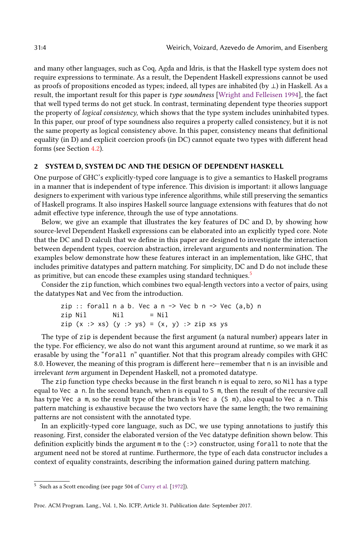and many other languages, such as Coq, Agda and Idris, is that the Haskell type system does not require expressions to terminate. As a result, the Dependent Haskell expressions cannot be used as proofs of propositions encoded as types; indeed, all types are inhabited (by ⊥) in Haskell. As a result, the important result for this paper is type soundness [\[Wright and Felleisen 1994\]](#page-29-8), the fact that well typed terms do not get stuck. In contrast, terminating dependent type theories support the property of logical consistency, which shows that the type system includes uninhabited types. In this paper, our proof of type soundness also requires a property called consistency, but it is not the same property as logical consistency above. In this paper, consistency means that definitional equality (in D) and explicit coercion proofs (in DC) cannot equate two types with different head forms (see Section [4.2\)](#page-12-0).

# 2 SYSTEM D, SYSTEM DC AND THE DESIGN OF DEPENDENT HASKELL

One purpose of GHC's explicitly-typed core language is to give a semantics to Haskell programs in a manner that is independent of type inference. This division is important: it allows language designers to experiment with various type inference algorithms, while still preserving the semantics of Haskell programs. It also inspires Haskell source language extensions with features that do not admit effective type inference, through the use of type annotations.

Below, we give an example that illustrates the key features of DC and D, by showing how source-level Dependent Haskell expressions can be elaborated into an explicitly typed core. Note that the DC and D calculi that we define in this paper are designed to investigate the interaction between dependent types, coercion abstraction, irrelevant arguments and nontermination. The examples below demonstrate how these features interact in an implementation, like GHC, that includes primitive datatypes and pattern matching. For simplicity, DC and D do not include these as primitive, but can encode these examples using standard techniques.<sup>[5](#page-1-0)</sup>

Consider the zip function, which combines two equal-length vectors into a vector of pairs, using the datatypes Nat and Vec from the introduction.

 $zip :: for all n a b. Vec a n -> Vec b n -> Vec (a,b) n$  $zip Nil = Nil = Nil$  $zip (x : > xs) (y : > ys) = (x, y) : > zip xs ys$ 

The type of zip is dependent because the first argument (a natural number) appears later in the type. For efficiency, we also do not want this argument around at runtime, so we mark it as erasable by using the "forall n" quantifier. Not that this program already compiles with GHC 8.0. However, the meaning of this program is different here–remember that n is an invisible and irrelevant term argument in Dependent Haskell, not a promoted datatype.

The zip function type checks because in the first branch n is equal to zero, so Nil has a type equal to Vec a n. In the second branch, when n is equal to S m, then the result of the recursive call has type Vec a m, so the result type of the branch is Vec a (S m), also equal to Vec a n. This pattern matching is exhaustive because the two vectors have the same length; the two remaining patterns are not consistent with the annotated type.

In an explicitly-typed core language, such as DC, we use typing annotations to justify this reasoning. First, consider the elaborated version of the Vec datatype definition shown below. This definition explicitly binds the argument m to the (:>) constructor, using forall to note that the argument need not be stored at runtime. Furthermore, the type of each data constructor includes a context of equality constraints, describing the information gained during pattern matching.

<sup>5</sup> Such as a Scott encoding (see page 504 of [Curry et al.](#page-28-12) [\[1972\]](#page-28-12)).

Proc. ACM Program. Lang., Vol. 1, No. ICFP, Article 31. Publication date: September 2017.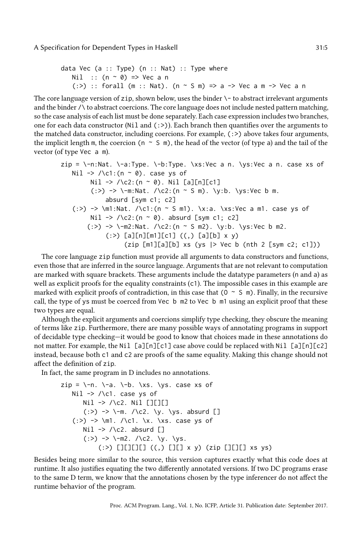```
data Vec (a :: Type) (n :: Nat) :: Type where
   Nil :: (n \sim \emptyset) => Vec a n
   (:) :: forall (m :: Nat). (n ~ S m) => a -> Vec a m -> Vec a n
```
The core language version of  $z$ ip, shown below, uses the binder  $\setminus$ - to abstract irrelevant arguments and the binder /\ to abstract coercions. The core language does not include nested pattern matching, so the case analysis of each list must be done separately. Each case expression includes two branches, one for each data constructor (Nil and  $(:)$ ). Each branch then quantifies over the arguments to the matched data constructor, including coercions. For example,  $(:>)$  above takes four arguments, the implicit length m, the coercion (n  $\sim$  S m), the head of the vector (of type a) and the tail of the vector (of type Vec a m).

zip = \-n:Nat. \-a:Type. \-b:Type. \xs:Vec a n. \ys:Vec a n. case xs of Nil -> /\c1:(n ~ 0). case ys of Nil -> /\c2:(n ~ 0). Nil [a][n][c1] (:>) -> \-m:Nat. /\c2:(n ~ S m). \y:b. \ys:Vec b m. absurd [sym c1; c2] (:>) -> \m1:Nat. /\c1:(n ~ S m1). \x:a. \xs:Vec a m1. case ys of Nil -> /\c2:(n ~ 0). absurd [sym c1; c2] (:>) -> \-m2:Nat. /\c2:(n ~ S m2). \y:b. \ys:Vec b m2. (:>) [a][n][m1][c1] ((,) [a][b] x y) (zip [m1][a][b] xs (ys |> Vec b (nth 2 [sym c2; c1]))

The core language zip function must provide all arguments to data constructors and functions, even those that are inferred in the source language. Arguments that are not relevant to computation are marked with square brackets. These arguments include the datatype parameters (n and a) as well as explicit proofs for the equality constraints (c1). The impossible cases in this example are marked with explicit proofs of contradiction, in this case that ( $0 \sim S$  m). Finally, in the recursive call, the type of ys must be coerced from Vec b m2 to Vec b m1 using an explicit proof that these two types are equal.

Although the explicit arguments and coercions simplify type checking, they obscure the meaning of terms like zip. Furthermore, there are many possible ways of annotating programs in support of decidable type checking-it would be good to know that choices made in these annotations do not matter. For example, the Nil [a][n][c1] case above could be replaced with Nil [a][n][c2] instead, because both c1 and c2 are proofs of the same equality. Making this change should not affect the definition of zip.

In fact, the same program in D includes no annotations.

```
zip = \lceil -n \rceil, \lceil -a \rceil, \lceil -b \rceil, \lceil -x \rceil, \lceil -x \rceil, \lceil -x \rceil, \lceil -x \rceil, \lceil -x \rceil, \lceil -x \rceil, \lceil -x \rceil, \lceil -x \rceil, \lceil -x \rceil, \lceil -x \rceil, \lceil -x \rceil, \lceil -x \rceil, \lceil -x \rceil, \lceil -x \rceil, \lceil -x \rceil, \lceil -x \rceil, \lceil -x \rceil, \lceil -x \rceil, \lceil -x \rceil, \lceil -x \rceil, \lceil -x \rceil, \lNil -> /\c1. case ys of
              Nil \rightarrow //c2. Nil [][][]
               (:>) -> \-m. /\c2. \y. \ys. absurd []
        (:>) -> \m1. /\c1. \x. \xs. case ys of
               Nil -> /\c2. absurd []
               (:>) -> \-m2. /\c2. \y. \ys.
                         (:>) [][][][] ((,) [][] x y) (zip [][][] xs ys)
```
Besides being more similar to the source, this version captures exactly what this code does at runtime. It also justifies equating the two differently annotated versions. If two DC programs erase to the same D term, we know that the annotations chosen by the type inferencer do not affect the runtime behavior of the program.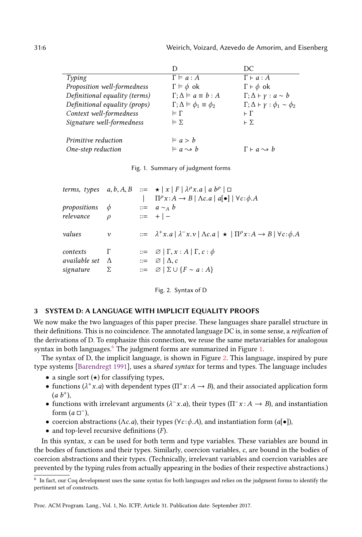<span id="page-6-1"></span>

|                               |                                                  | DC                                                  |
|-------------------------------|--------------------------------------------------|-----------------------------------------------------|
| Typing                        | $\Gamma \models a : A$                           | $\Gamma \vdash a : A$                               |
| Proposition well-formedness   | $\Gamma \models \phi$ ok                         | $\Gamma \vdash \phi$ ok                             |
| Definitional equality (terms) | $\Gamma; \Delta \models a \equiv b : A$          | $\Gamma$ ; $\Delta \vdash \gamma : a \sim b$        |
| Definitional equality (props) | $\Gamma$ ; $\Delta \models \phi_1 \equiv \phi_2$ | $\Gamma; \Delta \vdash \gamma : \phi_1 \sim \phi_2$ |
| Context well-formedness       | $\models$ $\Gamma$                               | FΓ                                                  |
| Signature well-formedness     | $\models \Sigma$                                 | $\vdash \Sigma$                                     |
| Primitive reduction           | $\models a > b$                                  |                                                     |
| One-step reduction            | $\models a \rightsquigarrow b$                   | $\Gamma \vdash a \leadsto b$                        |

| Fig. 1. Summary of judgment forms |  |  |  |  |  |  |  |
|-----------------------------------|--|--|--|--|--|--|--|
|-----------------------------------|--|--|--|--|--|--|--|

<span id="page-6-2"></span>

|                        |                | terms, types $a, b, A, B ::= \star  x F  \lambda^{\rho} x.a   a b^{\rho}   \square$<br>$\Pi^{\rho} x:A \to B \mid \Lambda c.a \mid a[\bullet] \mid \forall c:\phi.A$ |
|------------------------|----------------|----------------------------------------------------------------------------------------------------------------------------------------------------------------------|
| propositions $\phi$    |                | $\therefore = a \sim_A b$                                                                                                                                            |
| relevance              | $\rho$ ::= + - |                                                                                                                                                                      |
| values                 | $\mathcal V$   | $\therefore$ $\lambda^+ x.a \mid \lambda^- x.v \mid \Lambda c.a \mid \star \mid \Pi^\rho x:A \rightarrow B \mid \forall c:\phi.A$                                    |
| contexts               |                | $\equiv \emptyset   \Gamma, x : A   \Gamma, c : \phi$                                                                                                                |
| available set $\Delta$ |                | $ ::= \emptyset   \Delta, c$                                                                                                                                         |
| signature              | $\sum$         | $\equiv \emptyset$ $\Sigma \cup \{F \sim a : A\}$                                                                                                                    |

Fig. 2. Syntax of D

# <span id="page-6-0"></span>3 SYSTEM D: A LANGUAGE WITH IMPLICIT EQUALITY PROOFS

We now make the two languages of this paper precise. These languages share parallel structure in their definitions. This is no coincidence. The annotated language DC is, in some sense, a reification of the derivations of D. To emphasize this connection, we reuse the same metavariables for analogous syntax in both languages. $6$  The judgment forms are summarized in Figure [1.](#page-6-1)

The syntax of D, the implicit language, is shown in Figure [2.](#page-6-2) This language, inspired by pure type systems [\[Barendregt 1991\]](#page-27-4), uses a shared syntax for terms and types. The language includes

- a single sort  $(\star)$  for classifying types,
- functions ( $\lambda^+ x. a$ ) with dependent types ( $\Pi^+ x: A \to B$ ), and their associated application form  $(a\;b^+),$
- functions with irrelevant arguments ( $\lambda^- x.a$ ), their types ( $\Pi^- x:A \to B$ ), and instantiation form  $(a \sqcup^-)$ ,
- coercion abstractions ( $\Lambda c.a$ ), their types ( $\forall c:\phi.A$ ), and instantiation form  $(a[\bullet])$ ,
- $\bullet$  and top-level recursive definitions (F).

In this syntax,  $x$  can be used for both term and type variables. These variables are bound in the bodies of functions and their types. Similarly, coercion variables, c, are bound in the bodies of coercion abstractions and their types. (Technically, irrelevant variables and coercion variables are prevented by the typing rules from actually appearing in the bodies of their respective abstractions.)

6 In fact, our Coq development uses the same syntax for both languages and relies on the judgment forms to identify the pertinent set of constructs.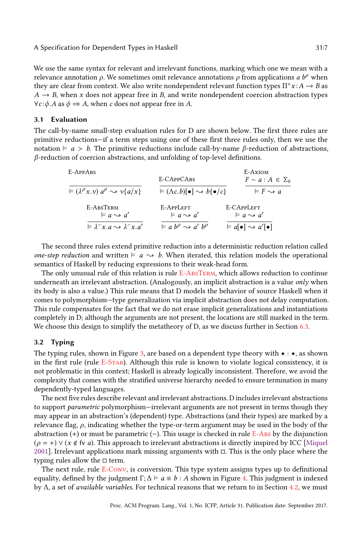We use the same syntax for relevant and irrelevant functions, marking which one we mean with a relevance annotation  $\rho$ . We sometimes omit relevance annotations  $\rho$  from applications a  $b^{\rho}$  when they are clear from context. We also write nondependent relevant function types  $\Pi^+ x : A \to B$  as  $A \rightarrow B$ , when x does not appear free in B, and write nondependent coercion abstraction types  $\forall c:\phi.A \text{ as } \phi \Rightarrow A$ , when c does not appear free in A.

# 3.1 Evaluation

The call-by-name small-step evaluation rules for D are shown below. The first three rules are primitive reductions–if a term steps using one of these first three rules only, then we use the notation  $\models a > b$ . The primitive reductions include call-by-name  $\beta$ -reduction of abstractions,  $\beta$ -reduction of coercion abstractions, and unfolding of top-level definitions.

<span id="page-7-1"></span><span id="page-7-0"></span>

| E-APPABS                                                                                                | E-CAPPCABS                                                                                            | E-AXIOM<br>$F \sim a : A \in \Sigma_0$                                                             |
|---------------------------------------------------------------------------------------------------------|-------------------------------------------------------------------------------------------------------|----------------------------------------------------------------------------------------------------|
| $\models (\lambda^{\rho} x. v) a^{\rho} \rightsquigarrow v\{a/x\}$                                      | $\models (\Lambda c.b)[\bullet] \rightsquigarrow b\{\bullet/c\}$                                      | $\models$ F $\rightsquigarrow$ a                                                                   |
| E-ABSTERM<br>$\models a \rightsquigarrow a'$<br>$\models \lambda^- x.a \rightsquigarrow \lambda^- x.a'$ | E-AppLEFT<br>$\models a \rightsquigarrow a'$<br>$\models$ a $b^{\rho} \rightsquigarrow$ a' $b^{\rho}$ | E-CAPPLEFT<br>$\models a \rightsquigarrow a'$<br>$\models a[\bullet] \rightsquigarrow a'[\bullet]$ |

The second three rules extend primitive reduction into a deterministic reduction relation called one-step reduction and written  $\models a \rightarrow b$ . When iterated, this relation models the operational semantics of Haskell by reducing expressions to their weak-head form.

The only unusual rule of this relation is rule E-ABSTERM, which allows reduction to continue underneath an irrelevant abstraction. (Analogously, an implicit abstraction is a value  $only$  when its body is also a value.) This rule means that D models the behavior of source Haskell when it comes to polymorphism-type generalization via implicit abstraction does not delay computation. This rule compensates for the fact that we do not erase implicit generalizations and instantiations completely in D; although the arguments are not present, the locations are still marked in the term. We choose this design to simplify the metatheory of D, as we discuss further in Section [6.3.](#page-22-1)

#### <span id="page-7-2"></span>3.2 Typing

The typing rules, shown in Figure [3,](#page-8-0) are based on a dependent type theory with  $\star : \star$ , as shown in the first rule (rule [E-Star\)](#page-8-1). Although this rule is known to violate logical consistency, it is not problematic in this context; Haskell is already logically inconsistent. Therefore, we avoid the complexity that comes with the stratified universe hierarchy needed to ensure termination in many dependently-typed languages.

The next five rules describe relevant and irrelevant abstractions. D includes irrelevant abstractions to support *parametric* polymorphism—irrelevant arguments are not present in terms though they may appear in an abstraction's (dependent) type. Abstractions (and their types) are marked by a relevance flag,  $\rho$ , indicating whether the type-or-term argument may be used in the body of the abstraction (+) or must be parametric (−). This usage is checked in rule [E-Abs](#page-8-2) by the disjunction  $(\rho = +) \vee (x \notin \text{fv } a)$ . This approach to irrelevant abstractions is directly inspired by ICC [\[Miquel](#page-28-3) [2001\]](#page-28-3). Irrelevant applications mark missing arguments with □. This is the only place where the typing rules allow the  $\Box$  term.

The next rule, rule [E-Conv,](#page-8-3) is conversion. This type system assigns types up to definitional equality, defined by the judgment  $\Gamma$ ;  $\Delta \models a \equiv b : A$  shown in Figure [4.](#page-10-0) This judgment is indexed by ∆, a set of available variables. For technical reasons that we return to in Section [4.2,](#page-12-0) we must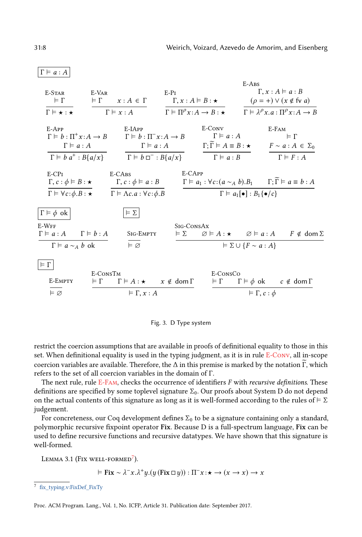<span id="page-8-10"></span><span id="page-8-9"></span><span id="page-8-8"></span><span id="page-8-7"></span><span id="page-8-3"></span><span id="page-8-2"></span><span id="page-8-1"></span><span id="page-8-0"></span>

| $\Gamma \vDash a:A$                            |                  |                                                                                       |                               |                        |                                            |                                                                                                                              |
|------------------------------------------------|------------------|---------------------------------------------------------------------------------------|-------------------------------|------------------------|--------------------------------------------|------------------------------------------------------------------------------------------------------------------------------|
|                                                |                  |                                                                                       |                               |                        | $E-ABS$                                    |                                                                                                                              |
| E-STAR                                         | E-VAR            |                                                                                       | $E-PI$                        |                        |                                            | $\Gamma, x : A \models a : B$                                                                                                |
| $\models \Gamma$                               |                  | $\models \Gamma \qquad x:A \in \Gamma$                                                | $\Gamma, x:A \vDash B: \star$ |                        |                                            | $(\rho = +) \vee (x \notin \text{fv } a)$                                                                                    |
| $\Gamma \models \star : \star$                 |                  | $\Gamma \models x : A$                                                                |                               |                        |                                            | $\Gamma \models \Pi^{\rho} x:A \rightarrow B : \star \qquad \Gamma \models \lambda^{\rho} x.a: \Pi^{\rho} x:A \rightarrow B$ |
| E-APP                                          |                  | E-IAPP                                                                                |                               | E-CONV                 |                                            | E-FAM                                                                                                                        |
| $\Gamma \models b : \Pi^+ x : A \rightarrow B$ |                  | $\Gamma \models b : \Pi^- x : A \rightarrow B$                                        |                               | $\Gamma \vDash a:A$    |                                            | $\models \Gamma$                                                                                                             |
| $\Gamma \models a : A$                         |                  |                                                                                       | $\Gamma \vDash a:A$           |                        |                                            | $\Gamma; \widetilde{\Gamma} \models A \equiv B : \star$ $F \sim a : A \in \Sigma_0$                                          |
|                                                |                  | $\Gamma \models b \ a^+ : B\{a/x\}$ $\Gamma \models b \Box^- : B\{a/x\}$              |                               | $\Gamma \models a : B$ |                                            | $\Gamma \models F : A$                                                                                                       |
| $E-CPI$                                        |                  | E-CABS                                                                                | E-CAPP                        |                        |                                            |                                                                                                                              |
|                                                |                  | $\Gamma, c : \phi \models B : \star$ $\Gamma, c : \phi \models a : B$                 |                               |                        |                                            | $\Gamma \vDash a_1 : \forall c : (a \sim_A b).B_1 \quad \Gamma; \overline{\Gamma} \vDash a \equiv b : A$                     |
|                                                |                  | $\Gamma \models \forall c:\phi.B:\star$ $\Gamma \models \Lambda c.a:\forall c:\phi.B$ |                               |                        | $\Gamma \models a_1[\bullet]: B_1{\phi/c}$ |                                                                                                                              |
| $\Gamma \models \phi$ ok                       |                  | $\models \Sigma$                                                                      |                               |                        |                                            |                                                                                                                              |
| $E-WFF$                                        |                  |                                                                                       | SIG-CONSAX                    |                        |                                            |                                                                                                                              |
| $\Gamma \models a:A \qquad \Gamma \models b:A$ |                  | SIG-EMPTY                                                                             |                               |                        |                                            | $\models \Sigma$ $\varnothing \models A : \star$ $\varnothing \models a : A$ $F \notin \text{dom } \Sigma$                   |
| $\Gamma \models a \sim_A b$ ok                 |                  | $\models \varnothing$                                                                 |                               |                        | $\models \Sigma \cup \{F \sim a : A\}$     |                                                                                                                              |
| $\models \Gamma$                               |                  |                                                                                       |                               |                        |                                            |                                                                                                                              |
|                                                | E-CONSTM         |                                                                                       |                               | E-CONSCO               |                                            |                                                                                                                              |
| E-EMPTY                                        | $\models \Gamma$ | $\Gamma \models A : \star \quad x \notin \text{dom }\Gamma$                           |                               | $\mathsf{F} \Gamma$    |                                            | $\Gamma \models \phi$ ok $c \notin \text{dom }\Gamma$                                                                        |
| $\models \varnothing$                          |                  | $\models \Gamma, x:A$                                                                 |                               |                        | $\models \Gamma, c : \phi$                 |                                                                                                                              |
|                                                |                  |                                                                                       |                               |                        |                                            |                                                                                                                              |

<span id="page-8-5"></span><span id="page-8-4"></span>Fig. 3. D Type system

<span id="page-8-6"></span>restrict the coercion assumptions that are available in proofs of definitional equality to those in this set. When definitional equality is used in the typing judgment, as it is in rule [E-Conv,](#page-8-3) all in-scope coercion variables are available. Therefore, the  $\Delta$  in this premise is marked by the notation  $\overline{\Gamma}$ , which refers to the set of all coercion variables in the domain of Γ.

The next rule, rule  $E$ -FAM, checks the occurrence of identifiers  $F$  with *recursive definitions*. These definitions are specified by some toplevel signature  $\Sigma_0$ . Our proofs about System D do not depend on the actual contents of this signature as long as it is well-formed according to the rules of  $\models \Sigma$ judgement.

For concreteness, our Coq development defines  $\Sigma_0$  to be a signature containing only a standard, polymorphic recursive fixpoint operator Fix. Because D is a full-spectrum language, Fix can be used to define recursive functions and recursive datatypes. We have shown that this signature is well-formed.

Lemma 3.1 (Fix well-formed<sup>[7](#page-1-0)</sup>).

 $\vDash$  Fix ~  $\lambda^- x \cdot \lambda^+ y \cdot (y \cdot (Fix \Box y)) : \Pi^- x : \star \to (x \to x) \to x$ 

<sup>7</sup> [fix\\_typing.v:FixDef\\_FixTy](fix_typing.v: FixDef_FixTy)

Proc. ACM Program. Lang., Vol. 1, No. ICFP, Article 31. Publication date: September 2017.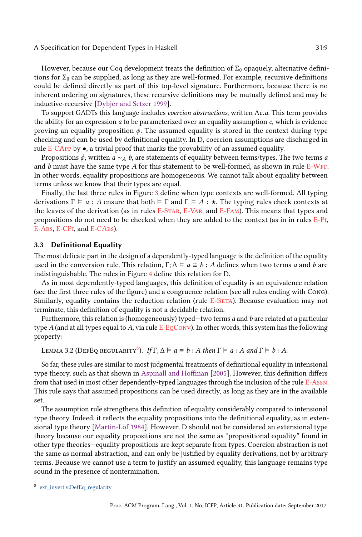However, because our Coq development treats the definition of  $\Sigma_0$  opaquely, alternative definitions for  $\Sigma_0$  can be supplied, as long as they are well-formed. For example, recursive definitions could be defined directly as part of this top-level signature. Furthermore, because there is no inherent ordering on signatures, these recursive definitions may be mutually defined and may be inductive-recursive [\[Dybjer and Setzer 1999\]](#page-28-13).

To support GADTs this language includes *coercion abstractions*, written  $\Lambda c.a$ . This term provides the ability for an expression  $a$  to be parameterized over an equality assumption  $c$ , which is evidence proving an equality proposition  $\phi$ . The assumed equality is stored in the context during type checking and can be used by definitional equality. In D, coercion assumptions are discharged in rule [E-CApp](#page-8-5) by •, a trivial proof that marks the provability of an assumed equality.

Propositions  $\phi$ , written  $a \sim_A b$ , are statements of equality between terms/types. The two terms a and b must have the same type A for this statement to be well-formed, as shown in rule  $E-WFF$ . In other words, equality propositions are homogeneous. We cannot talk about equality between terms unless we know that their types are equal.

Finally, the last three rules in Figure [3](#page-8-0) define when type contexts are well-formed. All typing derivations  $\Gamma \models a : A$  ensure that both  $\models \Gamma$  and  $\Gamma \models A : \star$ . The typing rules check contexts at the leaves of the derivation (as in rules [E-Star,](#page-8-1) [E-Var,](#page-8-7) and [E-Fam\)](#page-8-4). This means that types and propositions do not need to be checked when they are added to the context (as in in rules [E-Pi,](#page-8-8) [E-Abs,](#page-8-2) E-CPI, and [E-CAbs\)](#page-8-10).

#### 3.3 Definitional Equality

The most delicate part in the design of a dependently-typed language is the definition of the equality used in the conversion rule. This relation,  $\Gamma; \Delta \models a \equiv b : A$  defines when two terms a and b are indistinguishable. The rules in Figure [4](#page-10-0) define this relation for D.

As in most dependently-typed languages, this definition of equality is an equivalence relation (see the first three rules of the figure) and a congruence relation (see all rules ending with Cong). Similarly, equality contains the reduction relation (rule E-BETA). Because evaluation may not terminate, this definition of equality is not a decidable relation.

Furthermore, this relation is (homogeneously) typed—two terms  $a$  and  $b$  are related at a particular type  $A$  (and at all types equal to  $A$ , via rule E-EQCONV). In other words, this system has the following property:

```
8</sup>). If \Gamma; \Delta \models a \equiv b : A then \Gamma \models a : A and \Gamma \models b : A.
```
So far, these rules are similar to most judgmental treatments of definitional equality in intensional type theory, such as that shown in [Aspinall and Hoffman](#page-27-5) [\[2005\]](#page-27-5). However, this definition differs from that used in most other dependently-typed languages through the inclusion of the rule [E-Assn.](#page-10-3) This rule says that assumed propositions can be used directly, as long as they are in the available set.

The assumption rule strengthens this definition of equality considerably compared to intensional type theory. Indeed, it reflects the equality propositions into the definitional equality, as in extensional type theory [\[Martin-Löf 1984\]](#page-28-14). However, D should not be considered an extensional type theory because our equality propositions are not the same as "propositional equality" found in other type theories—equality propositions are kept separate from types. Coercion abstraction is not the same as normal abstraction, and can only be justified by equality derivations, not by arbitrary terms. Because we cannot use a term to justify an assumed equality, this language remains type sound in the presence of nontermination.

<sup>8</sup> [ext\\_invert.v:DefEq\\_regularity](ext_invert.v:DefEq_regularity)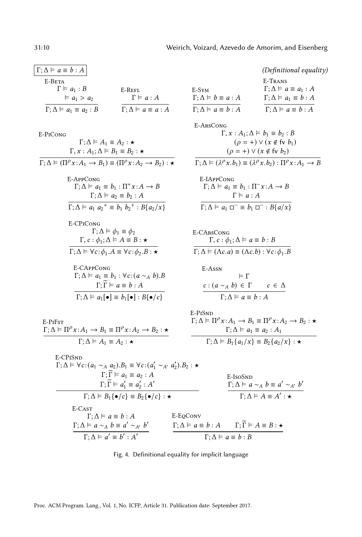<span id="page-10-1"></span><span id="page-10-0"></span>

| $\left  \Gamma; \Delta \vDash a \equiv b : A \right $ |                                         |                                         | (Definitional equality)                   |
|-------------------------------------------------------|-----------------------------------------|-----------------------------------------|-------------------------------------------|
| E-Beta                                                |                                         |                                         | E-Trans                                   |
| $\Gamma \vDash a_1 : B$                               | E-Refl                                  | E-Sym                                   | $\Gamma: \Delta \models a \equiv a_1 : A$ |
| $\vdash a_1 > a_2$                                    | $\Gamma \models a : A$                  | $\Gamma; \Delta \models b \equiv a : A$ | $\Gamma; \Delta \models a_1 \equiv b : A$ |
| $\Gamma: \Delta \models a_1 \equiv a_2 : B$           | $\Gamma; \Delta \models a \equiv a : A$ | $\Gamma; \Delta \models a \equiv b : A$ | $\Gamma; \Delta \models a \equiv b : A$   |

E-PiCong

<span id="page-10-11"></span>
$$
\Gamma; \Delta \models A_1 \equiv A_2 : \star
$$
\n
$$
\Gamma; \Delta \models A_1 \equiv A_2 : \star
$$
\n
$$
\Gamma; \Delta \models (\Pi^{\rho} x : A_1 \rightarrow B_1) \equiv (\Pi^{\rho} x : A_2 \rightarrow B_2) : \star
$$
\n
$$
\text{E-APPCONG}
$$
\n
$$
\Gamma; \Delta \models a_1 \equiv b_1 : \Pi^+ x : A \rightarrow B
$$
\n
$$
\Gamma; \Delta \models a_2 \equiv b_2 : A
$$
\n
$$
\Gamma; \Delta \models a_1 \ a_2^+ \equiv b_1 \ b_2^+ : B\{a_2/x\}
$$
\n
$$
\text{E-CPICONG}
$$
\n
$$
\Gamma; \Delta \models \phi_1 \equiv \phi_2
$$
\n
$$
\Gamma; \alpha : \phi_1; \Delta \models A \equiv B : \star
$$
\n
$$
\Gamma; \Delta \models \forall c : \phi_1. A \equiv \forall c : \phi_2. B : \star
$$

<span id="page-10-9"></span><span id="page-10-4"></span>E-CAPPCONG  
\n
$$
\Gamma; \Delta \vDash a_1 \equiv b_1 : \forall c : (a \sim_A b).B
$$
\n
$$
\Gamma; \widetilde{\Gamma} \vDash a \equiv b : A
$$
\n
$$
\Gamma; \Delta \vDash a_1[\bullet] \equiv b_1[\bullet] : B\{\bullet/c\}
$$

<span id="page-10-6"></span>E-PiFst  $\Gamma; \Delta \models \Pi^{\rho} x : A_1 \rightarrow B_1 \equiv \Pi^{\rho} x : A_2 \rightarrow B_2 : \star$  $\Gamma; \Delta \models A_1 \equiv A_2 : \star$ 

E-SYM  
\n
$$
\Gamma; \Delta \models a \equiv a : A
$$
\n
$$
\Gamma; \Delta \models a \equiv a : A
$$
\n
$$
\Gamma; \Delta \models a \equiv b : A
$$
\n
$$
\Gamma; \Delta \models a \equiv b : A
$$
\n
$$
\Gamma; \Delta \models a \equiv b : A
$$

E-ABSCONG  
\n
$$
\Gamma, x : A_1; \Delta \models b_1 \equiv b_2 : B
$$
\n
$$
(\rho = +) \lor (x \notin \text{fv } b_1)
$$
\n
$$
(\rho = +) \lor (x \notin \text{fv } b_2)
$$
\n
$$
\Gamma; \Delta \models (\lambda^{\rho} x.b_1) \equiv (\lambda^{\rho} x.b_2) : \Pi^{\rho} x : A_1 \rightarrow B
$$
\nE-IAPPCONG

$$
\Gamma; \Delta \vDash a_1 \equiv b_1 : \Pi^- x : A \to B
$$

$$
\Gamma \vDash a : A
$$

$$
\Gamma; \Delta \vDash a_1 \Box^- \equiv b_1 \Box^- : B\{a/x\}
$$

<span id="page-10-10"></span>E-CABSCONG  
\n
$$
\Gamma, c : \phi_1; \Delta \models a \equiv b : B
$$
\n
$$
\Gamma; \Delta \models (\Lambda c.a) \equiv (\Lambda c.b) : \forall c : \phi_1.B
$$
\n
$$
\models \Gamma
$$

<span id="page-10-3"></span>
$$
\cfrac{c:(a \sim_A b) \in \Gamma \qquad c \in \Delta}{\Gamma; \Delta \vDash a \equiv b : A}
$$

<span id="page-10-7"></span>E-PrSND  
\n
$$
\Gamma; \Delta \models \Pi^{\rho} x : A_1 \rightarrow B_1 \equiv \Pi^{\rho} x : A_2 \rightarrow B_2 : \star
$$
\n
$$
\Gamma; \Delta \models a_1 \equiv a_2 : A_1
$$
\n
$$
\Gamma; \Delta \models B_1 \{a_1/x\} \equiv B_2 \{a_2/x\} : \star
$$

<span id="page-10-8"></span>E-CPISND  
\n
$$
\Gamma; \Delta \models \forall c: (a_1 \sim_A a_2).B_1 \equiv \forall c: (a'_1 \sim_{A'} a'_2).B_2 : \star
$$
\n
$$
\Gamma; \widetilde{\Gamma} \models a_1 \equiv a_2 : A
$$
\n
$$
\Gamma; \widetilde{\Gamma} \models a'_1 \equiv a'_2 : A'
$$
\n
$$
\Gamma; \Delta \models B_1 \{ \bullet / c \} \equiv B_2 \{ \bullet / c \} : \star
$$
\n
$$
\Gamma; \Delta \models a \equiv b : A
$$
\n
$$
\Gamma; \Delta \models a \sim_A b \equiv a' \sim_{A'} b'
$$
\n
$$
\Gamma; \Delta \models a \sim_A b \equiv a' \sim_{A'} b'
$$
\n
$$
\Gamma; \Delta \models a' \equiv b : A
$$
\n
$$
\Gamma; \Delta \models a' \equiv b' : A'
$$
\n
$$
\Gamma; \Delta \models a \equiv b : B
$$
\n
$$
\Gamma; \Delta \models a \equiv b : B
$$

<span id="page-10-5"></span><span id="page-10-2"></span>

Proc. ACM Program. Lang., Vol. 1, No. ICFP, Article 31. Publication date: September 2017.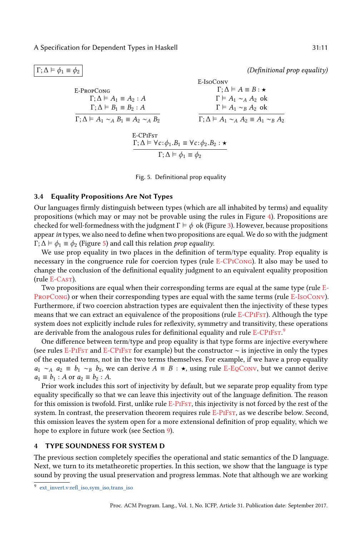<span id="page-11-1"></span><span id="page-11-0"></span> $\Gamma; \Delta \models \phi_1 \equiv \phi_2$  (Definitional prop equality) E-PropCong  $\Gamma; \Delta \models A_1 \equiv A_2 : A$  $\Gamma ; \Delta \vDash B_1 \equiv B_2 : A$  $\overline{\Gamma: A \vDash A_1 \sim_A B_1 \equiv A_2 \sim_A B_2}$ E-IsoConv  $\Gamma$ ;  $\Delta \models A \equiv B : \star$  $\Gamma \models A_1 \sim_A A_2$  ok  $\Gamma \vDash A_1 \sim_B A_2$  ok  $\Gamma; \Delta \vDash A_1 \sim_A A_2 \equiv A_1 \sim_B A_2$ E-CPiFst  $\Gamma; \Delta \models \forall c \colon \phi_1.B_1 \equiv \forall c \colon \phi_2.B_2 : \star$  $\Gamma; \Delta \vDash \phi_1 \equiv \phi_2$ 

<span id="page-11-3"></span><span id="page-11-2"></span>Fig. 5. Definitional prop equality

#### <span id="page-11-4"></span>3.4 Equality Propositions Are Not Types

Our languages firmly distinguish between types (which are all inhabited by terms) and equality propositions (which may or may not be provable using the rules in Figure [4\)](#page-10-0). Propositions are checked for well-formedness with the judgment  $\Gamma \models \phi$  ok (Figure [3\)](#page-8-0). However, because propositions appear in types, we also need to define when two propositions are equal. We do so with the judgment  $\Gamma$ ;  $\Delta \models \phi_1 \equiv \phi_2$  (Figure [5\)](#page-11-0) and call this relation *prop equality*.

We use prop equality in two places in the definition of term/type equality. Prop equality is necessary in the congruence rule for coercion types (rule [E-CPiCong\)](#page-10-4). It also may be used to change the conclusion of the definitional equality judgment to an equivalent equality proposition (rule [E-Cast\)](#page-10-5).

Two propositions are equal when their corresponding terms are equal at the same type (rule  $E$ -[PropCong\)](#page-11-1) or when their corresponding types are equal with the same terms (rule [E-IsoConv\)](#page-11-2). Furthermore, if two coercion abstraction types are equivalent then the injectivity of these types means that we can extract an equivalence of the propositions (rule E-CPIFsT). Although the type system does not explicitly include rules for reflexivity, symmetry and transitivity, these operations are derivable from the analogous rules for definitional equality and rule E-CPIFsT.<sup>[9](#page-1-0)</sup>

One difference between term/type and prop equality is that type forms are injective everywhere (see rules [E-PiFst](#page-10-6) and [E-CPiFst](#page-11-3) for example) but the constructor ∼ is injective in only the types of the equated terms, not in the two terms themselves. For example, if we have a prop equality  $a_1 \sim_A a_2 \equiv b_1 \sim_B b_2$ , we can derive  $A \equiv B : \star$ , using rule [E-EqConv,](#page-10-2) but we cannot derive  $a_1 \equiv b_1 : A \text{ or } a_2 \equiv b_2 : A.$ 

Prior work includes this sort of injectivity by default, but we separate prop equality from type equality specifically so that we can leave this injectivity out of the language definition. The reason for this omission is twofold. First, unlike rule [E-PiFst,](#page-10-6) this injectivity is not forced by the rest of the system. In contrast, the preservation theorem requires rule  $E-PIFST$ , as we describe below. Second, this omission leaves the system open for a more extensional definition of prop equality, which we hope to explore in future work (see Section [9\)](#page-26-0).

# 4 TYPE SOUNDNESS FOR SYSTEM D

The previous section completely specifies the operational and static semantics of the D language. Next, we turn to its metatheoretic properties. In this section, we show that the language is type sound by proving the usual preservation and progress lemmas. Note that although we are working

9 [ext\\_invert.v:refl\\_iso,sym\\_iso,trans\\_iso](ext_invert.v:refl_iso,sym_iso,trans_iso)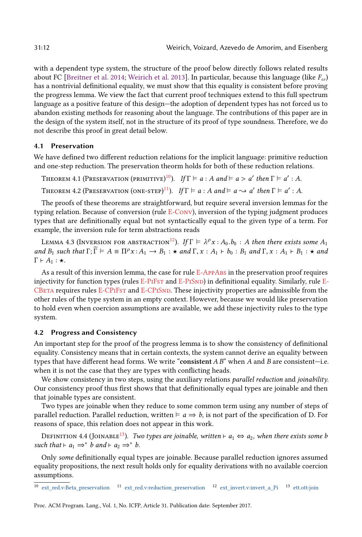with a dependent type system, the structure of the proof below directly follows related results about FC [\[Breitner et al.](#page-27-6) [2014;](#page-27-6) [Weirich et al.](#page-29-5) [2013\]](#page-29-5). In particular, because this language (like  $F_{\omega}$ ) has a nontrivial definitional equality, we must show that this equality is consistent before proving the progress lemma. We view the fact that current proof techniques extend to this full spectrum language as a positive feature of this design—the adoption of dependent types has not forced us to abandon existing methods for reasoning about the language. The contributions of this paper are in the design of the system itself, not in the structure of its proof of type soundness. Therefore, we do not describe this proof in great detail below.

# 4.1 Preservation

We have defined two different reduction relations for the implicit language: primitive reduction and one-step reduction. The preservation theorm holds for both of these reduction relations.

THEOREM 4.1 (PRESERVATION (PRIMITIVE)<sup>[10](#page-1-0)</sup>). If  $\Gamma \vDash a : A$  and  $\vDash a > a'$  then  $\Gamma \vDash a' : A$ .

THEOREM 4.2 (PRESERVATION (ONE-STEP)<sup>[11](#page-1-0)</sup>). If  $\Gamma \vDash a : A$  and  $\vDash a \leadsto a'$  then  $\Gamma \vDash a' : A$ .

The proofs of these theorems are straightforward, but require several inversion lemmas for the typing relation. Because of conversion (rule [E-Conv\)](#page-8-3), inversion of the typing judgment produces types that are definitionally equal but not syntactically equal to the given type of a term. For example, the inversion rule for term abstractions reads

<span id="page-12-1"></span>LEMMA 4.3 (INVERSION FOR ABSTRACTION $^{12}$  $^{12}$  $^{12}$ ). If  $\Gamma \vDash \lambda^\rho x$  :  $A_0.b_0 : A$  then there exists some  $A_1$ and  $B_1$  such that  $\Gamma$ ;  $\widetilde{\Gamma} \models A \equiv \Pi^{\rho} x : A_1 \rightarrow B_1 : \star \text{ and } \Gamma, x : A_1 \vdash b_0 : B_1 \text{ and } \Gamma, x : A_1 \vdash B_1 : \star \text{ and } \Gamma$  $\Gamma \vdash A_1 : \star.$ 

As a result of this inversion lemma, the case for rule E-AppABs in the preservation proof requires injectivity for function types (rules  $E-PiFST$  and  $E-PiSND$ ) in definitional equality. Similarly, rule  $E$ -CBETA requires rules E-CPIFsT and E-CPISND. These injectivity properties are admissible from the other rules of the type system in an empty context. However, because we would like preservation to hold even when coercion assumptions are available, we add these injectivity rules to the type system.

#### <span id="page-12-0"></span>4.2 Progress and Consistency

An important step for the proof of the progress lemma is to show the consistency of definitional equality. Consistency means that in certain contexts, the system cannot derive an equality between types that have different head forms. We write "consistent  $AB$ " when A and B are consistent-i.e. when it is not the case that they are types with conflicting heads.

We show consistency in two steps, using the auxiliary relations *parallel reduction* and *joinability*. Our consistency proof thus first shows that that definitionally equal types are joinable and then that joinable types are consistent.

Two types are joinable when they reduce to some common term using any number of steps of parallel reduction. Parallel reduction, written  $\models a \Rightarrow b$ , is not part of the specification of D. For reasons of space, this relation does not appear in this work.

DEFINITION 4.4 (JOINABLE<sup>[13](#page-1-0)</sup>). Two types are joinable, written ⊢  $a_1 \Leftrightarrow a_2$ , when there exists some b such that  $\vdash a_1 \Rightarrow^* b$  and  $\vdash a_2 \Rightarrow^* b$ .

Only some definitionally equal types are joinable. Because parallel reduction ignores assumed equality propositions, the next result holds only for equality derivations with no available coercion assumptions.

<sup>10</sup> [ext\\_red.v:Beta\\_preservation](ext_red.v:Beta_preservation) <sup>11</sup> [ext\\_red.v:reduction\\_preservation](ext_red.v:reduction_preservation) <sup>12</sup> [ext\\_invert.v:invert\\_a\\_Pi](ext_invert.v:invert_a_Pi) <sup>13</sup> <ett.ott:join>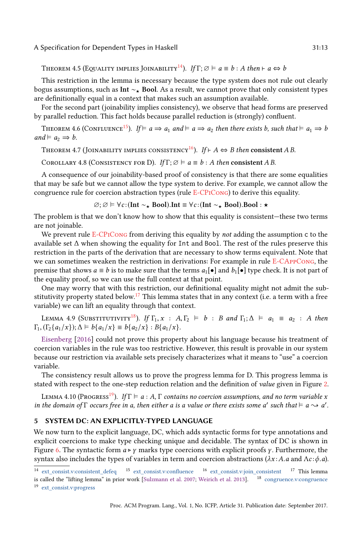THEOREM 4.5 (EQUALITY IMPLIES JOINABILITY<sup>[14](#page-1-0)</sup>). If  $\Gamma$ ;  $\emptyset \models a \equiv b : A$  then  $\vdash a \Leftrightarrow b$ 

This restriction in the lemma is necessary because the type system does not rule out clearly bogus assumptions, such as Int ∼⋆ Bool. As a result, we cannot prove that only consistent types are definitionally equal in a context that makes such an assumption available.

For the second part (joinability implies consistency), we observe that head forms are preserved by parallel reduction. This fact holds because parallel reduction is (strongly) confluent.

THEOREM 4.6 (CONFLUENCE<sup>[15](#page-1-0)</sup>). If  $\models a \Rightarrow a_1$  and  $\models a \Rightarrow a_2$  then there exists b, such that  $\models a_1 \Rightarrow b$ and  $\models a_2 \Rightarrow b$ .

THEOREM 4.7 (JOINABILITY IMPLIES CONSISTENCY<sup>[16](#page-1-0)</sup>). If ⊢ A  $\Leftrightarrow$  B then consistent A B.

COROLLARY 4.8 (CONSISTENCY FOR D). If  $\Gamma$ ;  $\varnothing \models a \equiv b : A$  then consistent A B.

A consequence of our joinability-based proof of consistency is that there are some equalities that may be safe but we cannot allow the type system to derive. For example, we cannot allow the congruence rule for coercion abstraction types (rule [E-CPiCong](#page-10-4)) to derive this equality.

 $\varnothing; \varnothing \models \forall c:$ (Int ~<sub>★</sub> Bool).Int  $\equiv \forall c:$ (Int ~<sub>\*</sub> Bool).Bool : \*

The problem is that we don't know how to show that this equality is consistent–these two terms are not joinable.

We prevent rule  $E$ -CP<sub>I</sub>Cong from deriving this equality by *not* adding the assumption c to the available set ∆ when showing the equality for Int and Bool. The rest of the rules preserve this restriction in the parts of the derivation that are necessary to show terms equivalent. Note that we can sometimes weaken the restriction in derivations: For example in rule [E-CAppCong](#page-10-9), the premise that shows  $a \equiv b$  is to make sure that the terms  $a_1[\bullet]$  and  $b_1[\bullet]$  type check. It is not part of the equality proof, so we can use the full context at that point.

One may worry that with this restriction, our definitional equality might not admit the sub-stitutivity property stated below.<sup>[17](#page-1-0)</sup> This lemma states that in any context (i.e. a term with a free variable) we can lift an equality through that context.

<span id="page-13-1"></span>LEMMA 4.9 (SUBSTITUTIVITY<sup>[18](#page-1-0)</sup>). If  $\Gamma_1$ ,  $x$  :  $A, \Gamma_2 \models b$  : B and  $\Gamma_1$ ;  $\Delta \models a_1 \equiv a_2$  : A then  $\Gamma_1$ ,  $(\Gamma_2\{a_1/x\})$ ;  $\Delta \models b\{a_1/x\} \equiv b\{a_2/x\}$ :  $B\{a_1/x\}$ .

[Eisenberg](#page-28-5) [\[2016\]](#page-28-5) could not prove this property about his language because his treatment of coercion variables in the rule was too restrictive. However, this result is provable in our system because our restriction via available sets precisely characterizes what it means to "use" a coercion variable.

The consistency result allows us to prove the progress lemma for D. This progress lemma is stated with respect to the one-step reduction relation and the definition of value given in Figure [2.](#page-6-2)

LEMMA 4.10 (PROGRESS<sup>[19](#page-1-0)</sup>). If  $\Gamma \models a : A, \Gamma$  contains no coercion assumptions, and no term variable x in the domain of  $\Gamma$  occurs free in a, then either a is a value or there exists some a' such that  $\models a \leadsto a'$ .

# <span id="page-13-0"></span>5 SYSTEM DC: AN EXPLICITLY-TYPED LANGUAGE

We now turn to the explicit language, DC, which adds syntactic forms for type annotations and explicit coercions to make type checking unique and decidable. The syntax of DC is shown in Figure [6.](#page-14-0) The syntactic form  $a \triangleright \gamma$  marks type coercions with explicit proofs  $\gamma$ . Furthermore, the syntax also includes the types of variables in term and coercion abstractions ( $\lambda x$ : A.a and  $\Lambda c$ : $\phi$ .a).

<sup>14</sup> [ext\\_consist.v:consistent\\_defeq](ext_consist.v:consistent_defeq) <sup>15</sup> [ext\\_consist.v:confluence](ext_consist.v: confluence) <sup>16</sup> [ext\\_consist.v:join\\_consistent](ext_consist.v:join_consistent) <sup>17</sup> This lemma is called the "lifting lemma" in prior work [\[Sulzmann et al.](#page-29-3) [2007;](#page-29-3) [Weirich et al.](#page-29-5) [2013\]](#page-29-5). <sup>18</sup> [congruence.v:congruence](congruence.v: congruence) <sup>19</sup> [ext\\_consist.v:progress](ext_consist.v: progress)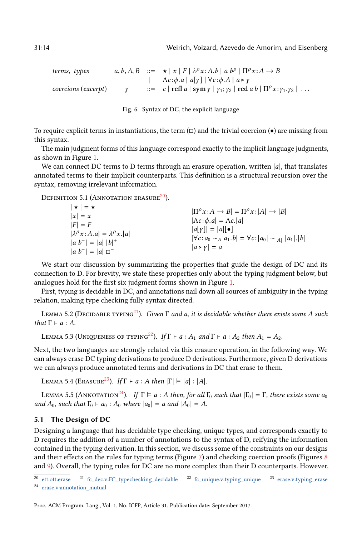31:14 Weirich, Voizard, Azevedo de Amorim, and Eisenberg

\n \n \n \n 
$$
\text{terms, types} \quad\n \begin{aligned}\n &\text{a, b, A, B} \quad \text{::=} \quad \star \mid x \mid F \mid \lambda^{\rho} x : A \cdot b \mid a \, b^{\rho} \mid \Pi^{\rho} x : A \to B \\
 &\quad \downarrow \quad \Lambda c : \phi \cdot a \mid a[y] \mid \forall c : \phi \cdot A \mid a \triangleright \gamma \\
 &\text{v} \quad \text{::=} \quad c \mid \text{refl } a \mid \text{sym } \gamma \mid \gamma_1; \gamma_2 \mid \text{red } a \, b \mid \Pi^{\rho} x : \gamma_1, \gamma_2 \mid \ldots\n \end{aligned}
$$
\n

Fig. 6. Syntax of DC, the explicit language

To require explicit terms in instantiations, the term  $(\square)$  and the trivial coercion ( $\bullet$ ) are missing from this syntax.

The main judgment forms of this language correspond exactly to the implicit language judgments, as shown in Figure [1.](#page-6-1)

We can connect DC terms to D terms through an erasure operation, written  $|a|$ , that translates annotated terms to their implicit counterparts. This definition is a structural recursion over the syntax, removing irrelevant information.

<span id="page-14-2"></span>DEFINITION 5.1 (ANNOTATION ERASURE<sup>[20](#page-1-0)</sup>).

| $ \Pi^{\rho} x: A \to B  = \Pi^{\rho} x:  A  \to  B $<br>$ \Lambda c:\phi.a  = \Lambda c.  a $<br>$ a y   =  a  \bullet $<br>$ \forall c: a_0 \sim_A a_1.b  = \forall c:  a_0  \sim_{ A }  a_1 . b $<br>$ a \triangleright y  = a$ |
|------------------------------------------------------------------------------------------------------------------------------------------------------------------------------------------------------------------------------------|
|                                                                                                                                                                                                                                    |

We start our discussion by summarizing the properties that guide the design of DC and its connection to D. For brevity, we state these properties only about the typing judgment below, but analogues hold for the first six judgment forms shown in Figure [1.](#page-6-1)

First, typing is decidable in DC, and annotations nail down all sources of ambiguity in the typing relation, making type checking fully syntax directed.

LEMMA 5.2 (DECIDABLE TYPING<sup>[21](#page-1-0)</sup>). Given  $\Gamma$  and a, it is decidable whether there exists some A such that  $\Gamma \vdash a : A$ .

LEMMA 5.3 (UNIQUENESS OF TYPING<sup>[22](#page-1-0)</sup>). If  $\Gamma \vdash a : A_1$  and  $\Gamma \vdash a : A_2$  then  $A_1 = A_2$ .

Next, the two languages are strongly related via this erasure operation, in the following way. We can always erase DC typing derivations to produce D derivations. Furthermore, given D derivations we can always produce annotated terms and derivations in DC that erase to them.

<span id="page-14-1"></span>LEMMA 5.4 (ERASURE<sup>[23](#page-1-0)</sup>). If  $\Gamma \vdash a : A$  then  $|\Gamma| \models |a| : |A|$ .

LEMMA 5.5 (ANNOTATION<sup>[24](#page-1-0)</sup>). If  $\Gamma \models a : A$  then, for all  $\Gamma_0$  such that  $|\Gamma_0| = \Gamma$ , there exists some  $a_0$ and  $A_0$ , such that  $\Gamma_0 \vdash a_0 : A_0$  where  $|a_0| = a$  and  $|A_0| = A$ .

#### 5.1 The Design of DC

Designing a language that has decidable type checking, unique types, and corresponds exactly to D requires the addition of a number of annotations to the syntax of D, reifying the information contained in the typing derivation. In this section, we discuss some of the constraints on our designs and their effects on the rules for typing terms (Figure [7\)](#page-15-0) and checking coercion proofs (Figures  $8$ and [9\)](#page-17-0). Overall, the typing rules for DC are no more complex than their D counterparts. However,

<span id="page-14-0"></span>

<sup>20</sup> <ett.ott:erase> <sup>21</sup> [fc\\_dec.v:FC\\_typechecking\\_decidable](fc_dec.v:FC_typechecking_decidable) <sup>22</sup> [fc\\_unique.v:typing\\_unique](fc_unique.v: typing_unique) <sup>23</sup> [erase.v:typing\\_erase](erase.v: typing_erase) <sup>24</sup> [erase.v:annotation\\_mutual](erase.v:annotation_mutual)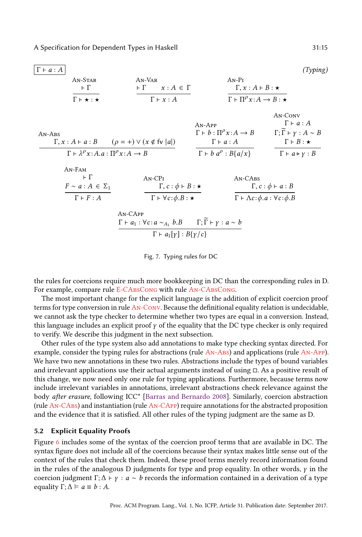<span id="page-15-8"></span><span id="page-15-7"></span><span id="page-15-2"></span><span id="page-15-0"></span>

| $\Gamma \vdash a : A$                                                    |                                                                                                          |                                                      | 'Typing)                                                |
|--------------------------------------------------------------------------|----------------------------------------------------------------------------------------------------------|------------------------------------------------------|---------------------------------------------------------|
| $AN-STAR$                                                                | $An-VAR$                                                                                                 | $An-PI$                                              |                                                         |
| $\vdash \Gamma$                                                          | $\vdash \Gamma$<br>$x:A \in \Gamma$                                                                      | $\Gamma, x:A \vdash B : \star$                       |                                                         |
| $\Gamma \vdash \star : \star$                                            | $\Gamma \vdash x:A$                                                                                      | $\Gamma \vdash \Pi^{\rho} x:A \rightarrow B : \star$ |                                                         |
|                                                                          |                                                                                                          |                                                      | AN-CONV                                                 |
|                                                                          |                                                                                                          | AN-APP                                               | $\Gamma \vdash a : A$                                   |
| $An-Abs$                                                                 |                                                                                                          | $\Gamma \vdash b : \Pi^{\rho} x : A \rightarrow B$   | $\Gamma; \widetilde{\Gamma} \vdash \gamma : A \sim B$   |
| $\Gamma, x : A \vdash a : B$ $(\rho = +) \vee (x \notin \text{fv }  a )$ |                                                                                                          | $\Gamma \vdash a : A$                                | $\Gamma \vdash B : \star$                               |
| $\Gamma \vdash \lambda^{\rho} x:A.a : \Pi^{\rho} x:A \rightarrow B$      |                                                                                                          | $\Gamma \vdash b \ a^{\rho} : B\{a/x\}$              | $\Gamma \vdash a \triangleright \gamma : B$             |
| $An-FAM$                                                                 |                                                                                                          |                                                      |                                                         |
| $\vdash \Gamma$                                                          | $An-CPI$                                                                                                 | AN-CABS                                              |                                                         |
| $F \sim a : A \in \Sigma_1$                                              | $\Gamma, c : \phi \vdash B : \star$                                                                      |                                                      | $\Gamma, c : \phi \vdash a : B$                         |
| $\Gamma \vdash F : A$                                                    | $\Gamma \vdash \forall c \colon \phi.B : \star$                                                          |                                                      | $\Gamma \vdash \Lambda c : \phi.a : \forall c : \phi.B$ |
|                                                                          | AN-CAPP                                                                                                  |                                                      |                                                         |
|                                                                          | $\Gamma \vdash a_1 : \forall c : a \sim_{A_1} b.B$ $\Gamma; \widetilde{\Gamma} \vdash \gamma : a \sim b$ |                                                      |                                                         |
|                                                                          | $\Gamma \vdash a_1[\gamma] : B\{\gamma/c\}$                                                              |                                                      |                                                         |

<span id="page-15-5"></span><span id="page-15-4"></span><span id="page-15-3"></span>Fig. 7. Typing rules for DC

<span id="page-15-9"></span>the rules for coercions require much more bookkeeping in DC than the corresponding rules in D. For example, compare rule E-CABSCONG with rule AN-CABSCONG.

The most important change for the explicit language is the addition of explicit coercion proof terms for type conversion in rule [An-Conv](#page-15-1). Because the definitional equality relation is undecidable, we cannot ask the type checker to determine whether two types are equal in a conversion. Instead, this language includes an explicit proof  $\gamma$  of the equality that the DC type checker is only required to verify. We describe this judgment in the next subsection.

Other rules of the type system also add annotations to make type checking syntax directed. For example, consider the typing rules for abstractions (rule [An-Abs](#page-15-2)) and applications (rule [An-App](#page-15-3)). We have two new annotations in these two rules. Abstractions include the types of bound variables and irrelevant applications use their actual arguments instead of using □. As a positive result of this change, we now need only one rule for typing applications. Furthermore, because terms now include irrelevant variables in annotations, irrelevant abstractions check relevance against the body after erasure, following ICC\* [\[Barras and Bernardo 2008\]](#page-27-2). Similarly, coercion abstraction (rule [An-CAbs](#page-15-4)) and instantiation (rule [An-CApp](#page-15-5)) require annotations for the abstracted proposition and the evidence that it is satisfied. All other rules of the typing judgment are the same as D.

# <span id="page-15-6"></span>5.2 Explicit Equality Proofs

Figure [6](#page-14-0) includes some of the syntax of the coercion proof terms that are available in DC. The syntax figure does not include all of the coercions because their syntax makes little sense out of the context of the rules that check them. Indeed, these proof terms merely record information found in the rules of the analogous D judgments for type and prop equality. In other words,  $\gamma$  in the coercion judgment Γ;  $\Delta \vdash \gamma : a \sim b$  records the information contained in a derivation of a type equality  $\Gamma; \Delta \models a \equiv b : A$ .

<span id="page-15-1"></span>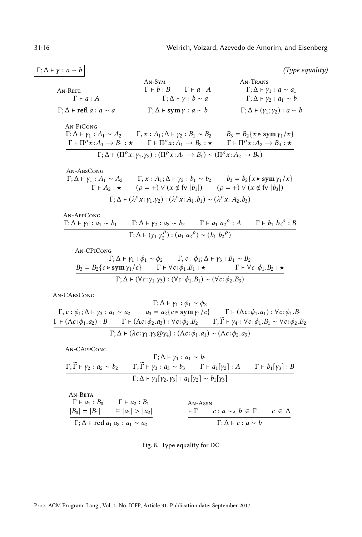<span id="page-16-5"></span><span id="page-16-3"></span><span id="page-16-0"></span>

|                                                           |                                                                                                                                                                                                                                                                                                                                                                         | (Type equality)                                  |
|-----------------------------------------------------------|-------------------------------------------------------------------------------------------------------------------------------------------------------------------------------------------------------------------------------------------------------------------------------------------------------------------------------------------------------------------------|--------------------------------------------------|
|                                                           | AN-SYM                                                                                                                                                                                                                                                                                                                                                                  | AN-TRANS                                         |
| AN-REFL                                                   | $\Gamma \vdash b : B$ $\Gamma \vdash a : A$                                                                                                                                                                                                                                                                                                                             | $\Gamma; \Delta \vdash \gamma_1 : a \sim a_1$    |
| $\Gamma \vdash a : A$                                     | $\Gamma; \Delta \vdash \gamma : b \sim a$                                                                                                                                                                                                                                                                                                                               | $\Gamma$ ; $\Delta \vdash \gamma_2 : a_1 \sim b$ |
| $\Gamma$ ; $\Delta$ + refl <i>a</i> : <i>a</i> ~ <i>a</i> | $\Gamma$ ; $\Delta$ $\vdash$ sym $\gamma$ : $a \sim b$                                                                                                                                                                                                                                                                                                                  | $\Gamma; \Delta \vdash (y_1; y_2) : a \sim b$    |
| AN-PICONG                                                 |                                                                                                                                                                                                                                                                                                                                                                         |                                                  |
|                                                           | $\Gamma; \Delta \vdash \gamma_1 : A_1 \sim A_2$ $\Gamma, x : A_1; \Delta \vdash \gamma_2 : B_1 \sim B_2$ $B_3 = B_2\{x \triangleright \mathrm{sym } \gamma_1/x\}$                                                                                                                                                                                                       |                                                  |
|                                                           | $\Gamma \vdash \Pi^{\rho} x:A_1 \to B_1 : \star \qquad \Gamma \vdash \Pi^{\rho} x:A_1 \to B_2 : \star \qquad \Gamma \vdash \Pi^{\rho} x:A_2 \to B_3 : \star$                                                                                                                                                                                                            |                                                  |
|                                                           | $\Gamma$ ; $\Delta \vdash (\Pi^{\rho} x : \gamma_1 . \gamma_2) : (\Pi^{\rho} x : A_1 \rightarrow B_1) \sim (\Pi^{\rho} x : A_2 \rightarrow B_3)$                                                                                                                                                                                                                        |                                                  |
| AN-ABSCONG                                                |                                                                                                                                                                                                                                                                                                                                                                         |                                                  |
|                                                           | $\Gamma; \Delta \vdash \gamma_1 : A_1 \sim A_2$ $\Gamma, x : A_1; \Delta \vdash \gamma_2 : b_1 \sim b_2$ $b_3 = b_2 \{x \triangleright \mathrm{sym } \gamma_1/x\}$                                                                                                                                                                                                      |                                                  |
|                                                           | $\Gamma \vdash A_2 : \star$ $(\rho = +) \vee (x \notin \text{fv }  b_1 )$ $(\rho = +) \vee (x \notin \text{fv }  b_3 )$                                                                                                                                                                                                                                                 |                                                  |
|                                                           | $\Gamma$ ; $\Delta \vdash (\lambda^{\rho} x : \gamma_1.\gamma_2) : (\lambda^{\rho} x : A_1.b_1) \sim (\lambda^{\rho} x : A_2.b_3)$                                                                                                                                                                                                                                      |                                                  |
|                                                           |                                                                                                                                                                                                                                                                                                                                                                         |                                                  |
| AN-APPCONG                                                | $\Gamma; \Delta \vdash \gamma_1 : a_1 \sim b_1$ $\Gamma; \Delta \vdash \gamma_2 : a_2 \sim b_2$ $\Gamma \vdash a_1 a_2^{\rho} : A$ $\Gamma \vdash b_1 b_2^{\rho} : B$                                                                                                                                                                                                   |                                                  |
|                                                           | $\Gamma$ ; $\Delta$ + $(y_1, y_2^{\rho})$ : $(a_1, a_2^{\rho}) \sim (b_1, b_2^{\rho})$                                                                                                                                                                                                                                                                                  |                                                  |
| AN-CPICONG                                                |                                                                                                                                                                                                                                                                                                                                                                         |                                                  |
|                                                           | $\Gamma; \Delta \vdash \gamma_1 : \phi_1 \sim \phi_2$ $\Gamma, c : \phi_1; \Delta \vdash \gamma_3 : B_1 \sim B_2$                                                                                                                                                                                                                                                       |                                                  |
|                                                           | $B_3 = B_2\{c \triangleright \operatorname{sym} \gamma_1/c\}$ $\Gamma \vdash \forall c : \phi_1.B_1 : \star$ $\Gamma \vdash \forall c : \phi_1.B_2 : \star$<br>$\Gamma$ ; $\Delta$ + ( $\forall$ c: $\gamma$ <sub>1</sub> . $\gamma$ <sub>3</sub> ) : ( $\forall$ c: $\phi$ <sub>1</sub> . $B$ <sub>1</sub> ) ~ ( $\forall$ c: $\phi$ <sub>2</sub> . $B$ <sub>3</sub> ) |                                                  |
|                                                           |                                                                                                                                                                                                                                                                                                                                                                         |                                                  |
| AN-CABSCONG                                               |                                                                                                                                                                                                                                                                                                                                                                         |                                                  |
|                                                           | $\Gamma: \Delta \vdash \gamma_1 : \phi_1 \sim \phi_2$                                                                                                                                                                                                                                                                                                                   |                                                  |
|                                                           | $\Gamma, c : \phi_1; \Delta \vdash \gamma_3 : a_1 \sim a_2 \qquad a_3 = a_2 \{ c \triangleright \mathrm{sym} \, \gamma_1 / c \} \qquad \Gamma \vdash (\Lambda c : \phi_1. a_1) : \forall c : \phi_1. B_1$                                                                                                                                                               |                                                  |
|                                                           | $\Gamma \vdash (\Lambda c:\phi_1.a_2):B$ $\Gamma \vdash (\Lambda c:\phi_2.a_3): \forall c:\phi_2.B_2$ $\Gamma;\Gamma \vdash \gamma_4: \forall c:\phi_1.B_1 \sim \forall c:\phi_2.B_2$                                                                                                                                                                                   |                                                  |

<span id="page-16-4"></span><span id="page-16-2"></span><span id="page-16-1"></span>An-CAppCong

$$
\Gamma; \Delta \vdash \gamma_1 : a_1 \sim b_1
$$
\n
$$
\Gamma; \widetilde{\Gamma} \vdash \gamma_2 : a_2 \sim b_2
$$
\n
$$
\Gamma; \widetilde{\Gamma} \vdash \gamma_3 : a_3 \sim b_3
$$
\n
$$
\Gamma \vdash a_1[\gamma_2] : A
$$
\n
$$
\Gamma \vdash b_1[\gamma_3] : B
$$
\n
$$
\Gamma; \Delta \vdash \gamma_1[\gamma_2, \gamma_3] : a_1[\gamma_2] \sim b_1[\gamma_3]
$$

$$
\begin{array}{ll}\n\text{An-BETA} \\
\Gamma \vdash a_1 : B_0 \qquad \Gamma \vdash a_2 : B_1 \\
\vert B_0 \vert = \vert B_1 \vert \qquad \vdash |a_1| > |a_2| \\
\overline{\Gamma}; \Delta \vdash \mathbf{red} \ a_1 \ a_2 : a_1 \sim a_2\n\end{array}\n\qquad\n\begin{array}{ll}\n\text{An-Assn} \\
\hline\n\Gamma \vdash \mathbf{c} : a \sim_A b \in \Gamma \qquad c \in \Delta \\
\Gamma; \Delta \vdash c : a \sim b\n\end{array}
$$

Fig. 8. Type equality for DC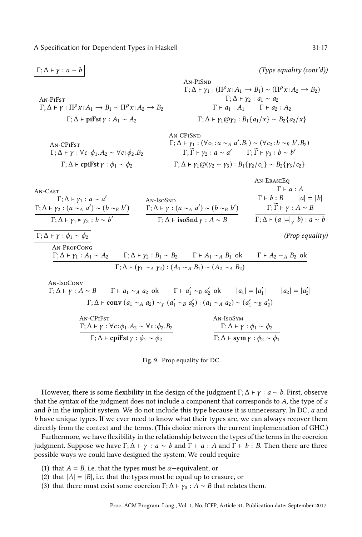<span id="page-17-0"></span> $\Gamma; \Delta \vdash \gamma : a \sim b$  (Type equality (cont'd)) An-PiFst  $\Gamma; \Delta \vdash \gamma : \Pi^{\rho} x : A_1 \rightarrow B_1 \sim \Pi^{\rho} x : A_2 \rightarrow B_2$ Γ; Δ **⊦ piFst**  $\gamma$  :  $A_1 \sim A_2$ An-PiSnd  $\Gamma; \Delta \vdash \gamma_1 : (\Pi^{\rho} x : A_1 \rightarrow B_1) \sim (\Pi^{\rho} x : A_2 \rightarrow B_2)$ Γ;  $Δ$  ⊢  $γ_2$  :  $a_1 \sim a_2$  $\Gamma \vdash a_1 : A_1 \qquad \Gamma \vdash a_2 : A_2$  $Γ; Δ ⊢ γ<sub>1</sub>@γ<sub>2</sub> : B<sub>1</sub>{a<sub>1</sub>/x} ~ B<sub>2</sub>{a<sub>2</sub>/x}$ An-CPiFst  $\Gamma; \Delta \vdash \gamma : \forall c : \phi_1.A_2 \sim \forall c : \phi_2.B_2$ Γ; Δ **⊦ cpiFst**  $\gamma$  :  $\phi_1 \sim \phi_2$ An-CPiSnd  $Γ; Δ ⊢ γ<sub>1</sub> : (∀c<sub>1</sub> : a ~<sub>A</sub> a'.B<sub>1</sub>) ~ (∨c<sub>2</sub> : b ~<sub>B</sub> b'.B<sub>2</sub>)$  $\Gamma; \overrightarrow{\Gamma} \vdash \gamma_2 : a \sim a' \qquad \Gamma; \overrightarrow{\Gamma} \vdash \gamma_3 : b \sim b'$  $Γ; Δ ⊢ γ<sub>1</sub>@(γ<sub>2</sub> ~ γ<sub>3</sub>) : B<sub>1</sub>{γ<sub>2</sub>/c<sub>1</sub>} ~ B<sub>2</sub>{γ<sub>3</sub>/c<sub>2</sub>}$ An-Cast  $\Gamma; \Delta \vdash \gamma_1 : a \sim a'$  $\Gamma; \Delta \vdash \gamma_2 : (a \sim_A a') \sim (b \sim_B b')$  $\Gamma; \Delta \vdash \gamma_1 \triangleright \gamma_2 : b \sim b'$ An-IsoSnd<br>  $\Gamma; \Delta \vdash \gamma : (a \sim_A a') \sim (b \sim_B b')$  $Γ; Δ ⊢ is oSndγ : A ∼ B$ An-EraseEq  $\Gamma \vdash a : A$  $\Gamma \vdash b : B$  |a| = |b|  $\Gamma$ ;  $\widetilde{\Gamma}$  ⊢  $\gamma$  :  $A \sim B$  $\Gamma$ ;  $\Delta$  + (a  $=|_{\gamma}$  b) : a ~ b  $\Gamma; \Delta \vdash \gamma : \phi_1 \sim \phi_2$  (Prop equality) An-PropCong  $\Gamma; \Delta \vdash \gamma_1 : A_1 \sim A_2$   $\Gamma; \Delta \vdash \gamma_2 : B_1 \sim B_2$   $\Gamma \vdash A_1 \sim_A B_1$  ok  $\Gamma \vdash A_2 \sim_A B_2$  ok  $Γ; Δ ⊢ (γ<sub>1</sub> ~<sub>A</sub> γ<sub>2</sub>) : (A<sub>1</sub> ~<sub>A</sub> B<sub>1</sub>) ~(A<sub>2</sub> ~<sub>A</sub> B<sub>2</sub>)$ An-IsoConv  $Γ; Δ ⊢ γ : A ∼ B$   $Γ ⊢ a<sub>1</sub> ∼<sub>A</sub> a<sub>2</sub> ok$   $Γ ⊢ a'<sub>1</sub> ∼<sub>B</sub> a'<sub>2</sub> ok$   $|a<sub>1</sub>| = |a'<sub>1</sub>|$   $|a<sub>2</sub>| = |a'<sub>2</sub>|$  $Γ; Δ ⊢ conv (a<sub>1</sub> ~<sub>A</sub> a<sub>2</sub>) ~<sub>γ</sub> (a'<sub>1</sub> ~<sub>B</sub> a'<sub>2</sub>) : (a<sub>1</sub> ~<sub>A</sub> a<sub>2</sub>) ~(a'<sub>1</sub> ~<sub>B</sub> a'<sub>2</sub>)$ An-CPiFst  $\Gamma; \Delta \vdash \gamma : \forall c : \phi_1.A_2 \sim \forall c : \phi_2.B_2$ Γ; Δ **⊦ cpiFst**  $\gamma$  :  $\phi_1 \sim \phi_2$ An-IsoSym Γ;  $Δ$  *⊢ γ* :  $φ_1$  ~  $φ_2$ Γ; Δ **⊦ sym**  $\gamma$  :  $\phi_2 \sim \phi_1$ 

<span id="page-17-2"></span><span id="page-17-1"></span>Fig. 9. Prop equality for DC

However, there is some flexibility in the design of the judgment  $\Gamma$ ;  $\Delta \vdash \gamma : a \sim b$ . First, observe that the syntax of the judgment does not include a component that corresponds to A, the type of a and  $b$  in the implicit system. We do not include this type because it is unnecessary. In DC,  $a$  and b have unique types. If we ever need to know what their types are, we can always recover them directly from the context and the terms. (This choice mirrors the current implementation of GHC.)

Furthermore, we have flexibility in the relationship between the types of the terms in the coercion judgment. Suppose we have Γ; Δ ⊢ γ :  $a \sim b$  and Γ ⊢  $a : A$  and Γ ⊢  $b : B$ . Then there are three possible ways we could have designed the system. We could require

- (1) that  $A = B$ , i.e. that the types must be  $\alpha$ -equivalent, or
- (2) that  $|A| = |B|$ , i.e. that the types must be equal up to erasure, or
- (3) that there must exist some coercion  $\Gamma$ ;  $\Delta \vdash \gamma_0 : A \sim B$  that relates them.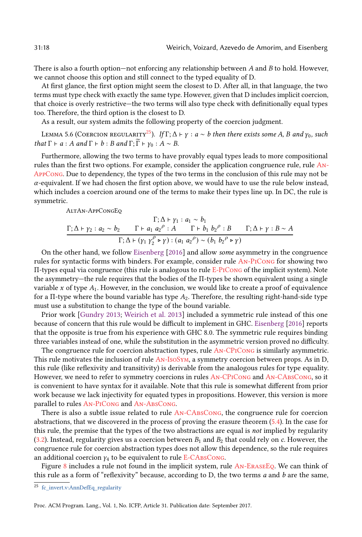There is also a fourth option–not enforcing any relationship between  $A$  and  $B$  to hold. However, we cannot choose this option and still connect to the typed equality of D.

At first glance, the first option might seem the closest to D. After all, in that language, the two terms must type check with exactly the same type. However, given that D includes implicit coercion, that choice is overly restrictive–the two terms will also type check with definitionally equal types too. Therefore, the third option is the closest to D.

As a result, our system admits the following property of the coercion judgment.

LEMMA 5.6 (COERCION REGULARITY<sup>[25](#page-1-0)</sup>). If  $\Gamma$ ;  $\Delta \vdash \gamma : a \sim b$  then there exists some A, B and  $\gamma_0$ , such that  $\Gamma \vdash a : A$  and  $\Gamma \vdash b : B$  and  $\Gamma$ ;  $\widetilde{\Gamma} \vdash \gamma_0 : A \sim B$ .

Furthermore, allowing the two terms to have provably equal types leads to more compositional rules than the first two options. For example, consider the application congruence rule, rule [An-](#page-16-2)[AppCong](#page-16-2). Due to dependency, the types of the two terms in the conclusion of this rule may not be  $\alpha$ -equivalent. If we had chosen the first option above, we would have to use the rule below instead, which includes a coercion around one of the terms to make their types line up. In DC, the rule is symmetric.

AltAn-AppCongEq

$$
\Gamma; \Delta \vdash \gamma_1 : a_1 \sim b_1
$$
\n
$$
\Gamma; \Delta \vdash \gamma_2 : a_2 \sim b_2
$$
\n
$$
\Gamma \vdash a_1 a_2^{\rho} : A
$$
\n
$$
\Gamma \vdash b_1 b_2^{\rho} : B
$$
\n
$$
\Gamma; \Delta \vdash \gamma : B \sim A
$$
\n
$$
\Gamma; \Delta \vdash (\gamma_1 \gamma_2^{\rho} \triangleright \gamma) : (a_1 a_2^{\rho}) \sim (b_1 b_2^{\rho} \triangleright \gamma)
$$

On the other hand, we follow [Eisenberg](#page-28-5) [\[2016\]](#page-28-5) and allow some asymmetry in the congruence rules for syntactic forms with binders. For example, consider rule [An-PiCong](#page-16-3) for showing two Π-types equal via congruence (this rule is analogous to rule [E-PiCong](#page-10-11) of the implicit system). Note the asymmetry—the rule requires that the bodies of the  $\Pi$ -types be shown equivalent using a single variable x of type  $A_1$ . However, in the conclusion, we would like to create a proof of equivalence for a Π-type where the bound variable has type  $A_2$ . Therefore, the resulting right-hand-side type must use a substitution to change the type of the bound variable.

Prior work [\[Gundry 2013;](#page-28-6) [Weirich et al.](#page-29-5) [2013\]](#page-29-5) included a symmetric rule instead of this one because of concern that this rule would be difficult to implement in GHC. [Eisenberg](#page-28-5) [\[2016\]](#page-28-5) reports that the opposite is true from his experience with GHC 8.0. The symmetric rule requires binding three variables instead of one, while the substitution in the asymmetric version proved no difficulty.

The congruence rule for coercion abstraction types, rule AN-CPICONG is similarly asymmetric. This rule motivates the inclusion of rule [An-IsoSym](#page-17-1), a symmetry coercion between props. As in D, this rule (like reflexivity and transitivity) is derivable from the analogous rules for type equality. However, we need to refer to symmetry coercions in rules [An-CPiCong](#page-16-4) and [An-CAbsCong](#page-16-1), so it is convenient to have syntax for it available. Note that this rule is somewhat different from prior work because we lack injectivity for equated types in propositions. However, this version is more parallel to rules [An-PiCong](#page-16-3) and [An-AbsCong](#page-16-5).

There is also a subtle issue related to rule AN-CABSCONG, the congruence rule for coercion abstractions, that we discovered in the process of proving the erasure theorem [\(5.4\)](#page-14-1). In the case for this rule, the premise that the types of the two abstractions are equal is not implied by regularity [\(3.2\)](#page-9-0). Instead, regularity gives us a coercion between  $B_1$  and  $B_2$  that could rely on c. However, the congruence rule for coercion abstraction types does not allow this dependence, so the rule requires an additional coercion  $\gamma_4$  to be equivalent to rule E-CABSCONG.

Figure  $8$  includes a rule not found in the implicit system, rule  $\overline{AN-ERASEEQ}$ . We can think of this rule as a form of "reflexivity" because, according to D, the two terms  $a$  and  $b$  are the same,

<sup>25</sup> [fc\\_invert.v:AnnDefEq\\_regularity](fc_invert.v:AnnDefEq_regularity)

Proc. ACM Program. Lang., Vol. 1, No. ICFP, Article 31. Publication date: September 2017.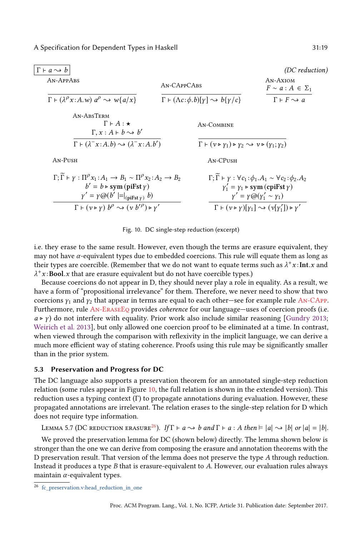<span id="page-19-0"></span>

| $\Gamma \vdash a \leadsto b$<br>AN-APPABS                                                                                                                                                                                                                                                                                                                                         | AN-CAPPCABS                                                                                                                    | (DC reduction)<br>AN-AXIOM<br>$F \sim a : A \in \Sigma_1$                                                                                                                                                                                                                                                                            |
|-----------------------------------------------------------------------------------------------------------------------------------------------------------------------------------------------------------------------------------------------------------------------------------------------------------------------------------------------------------------------------------|--------------------------------------------------------------------------------------------------------------------------------|--------------------------------------------------------------------------------------------------------------------------------------------------------------------------------------------------------------------------------------------------------------------------------------------------------------------------------------|
| $\Gamma \vdash (\lambda^{\rho} x:A.w) \ a^{\rho} \leadsto w\{a/x\}$                                                                                                                                                                                                                                                                                                               | $\Gamma \vdash (\Lambda c : \phi.b)[\gamma] \rightsquigarrow b\{\gamma/c\}$                                                    | $\Gamma \vdash F \rightsquigarrow a$                                                                                                                                                                                                                                                                                                 |
| AN-ABSTERM<br>$\Gamma \vdash A : \star$<br>$\Gamma, x : A \vdash b \leadsto b'$                                                                                                                                                                                                                                                                                                   | AN-COMBINE                                                                                                                     |                                                                                                                                                                                                                                                                                                                                      |
| $\Gamma \vdash (\lambda^{-}x:A.b) \rightsquigarrow (\lambda^{-}x:A.b')$                                                                                                                                                                                                                                                                                                           | $\Gamma \vdash (\nu \triangleright \gamma_1) \triangleright \gamma_2 \rightsquigarrow \nu \triangleright (\gamma_1; \gamma_2)$ |                                                                                                                                                                                                                                                                                                                                      |
| $An-PusH$                                                                                                                                                                                                                                                                                                                                                                         | $An$ -CP $U$ sh                                                                                                                |                                                                                                                                                                                                                                                                                                                                      |
| $\Gamma$ : $\overline{\Gamma}$ + $\gamma$ : $\Pi^{\rho} x_1$ : $A_1 \rightarrow B_1 \sim \Pi^{\rho} x_2$ : $A_2 \rightarrow B_2$<br>$b' = b \triangleright \text{sym} (\text{piFst}\, \gamma)$<br>$\gamma' = \gamma \omega(b' \mid =  _{(\text{piFst}\gamma)} b)$<br>$\Gamma \vdash (v \triangleright y) b^{\rho} \rightsquigarrow (v b^{\prime \rho}) \triangleright y^{\prime}$ |                                                                                                                                | $\Gamma$ : $\overline{\Gamma}$ + $\gamma$ : $\forall c_1$ : $\phi_1$ . $A_1 \sim \forall c_2$ : $\phi_2$ . $A_2$<br>$y'_1 = y_1 \triangleright \text{sym (cpiFst } \gamma)$<br>$y' = \gamma \omega(y'_1 \sim y_1)$<br>$\Gamma \vdash (\nu \triangleright \gamma)[\gamma_1] \rightsquigarrow (\nu[\gamma'_1]) \triangleright \gamma'$ |

Fig. 10. DC single-step reduction (excerpt)

i.e. they erase to the same result. However, even though the terms are erasure equivalent, they may not have α-equivalent types due to embedded coercions. This rule will equate them as long as their types are coercible. (Remember that we do not want to equate terms such as  $\lambda^+ x$ : Int.x and  $\lambda^+ x$ : Bool.x that are erasure equivalent but do not have coercible types.)

Because coercions do not appear in D, they should never play a role in equality. As a result, we have a form of "propositional irrelevance" for them. Therefore, we never need to show that two coercions  $y_1$  and  $y_2$  that appear in terms are equal to each other—see for example rule [An-CApp](#page-15-5). Furthermore, rule AN-ERASEEQ provides *coherence* for our language—uses of coercion proofs (i.e.  $a \triangleright \gamma$ ) do not interfere with equality. Prior work also include similar reasoning [\[Gundry 2013;](#page-28-6) [Weirich et al.](#page-29-5) [2013\]](#page-29-5), but only allowed one coercion proof to be eliminated at a time. In contrast, when viewed through the comparison with reflexivity in the implicit language, we can derive a much more efficient way of stating coherence. Proofs using this rule may be significantly smaller than in the prior system.

# 5.3 Preservation and Progress for DC

The DC language also supports a preservation theorem for an annotated single-step reduction relation (some rules appear in Figure [10,](#page-19-0) the full relation is shown in the extended version). This reduction uses a typing context (Γ) to propagate annotations during evaluation. However, these propagated annotations are irrelevant. The relation erases to the single-step relation for D which does not require type information.

LEMMA 5.7 (DC REDUCTION ERASURE<sup>[26](#page-1-0)</sup>). If  $\Gamma \vdash a \rightarrow b$  and  $\Gamma \vdash a : A$  then  $\models |a| \rightarrow |b|$  or  $|a| = |b|$ .

We proved the preservation lemma for DC (shown below) directly. The lemma shown below is stronger than the one we can derive from composing the erasure and annotation theorems with the D preservation result. That version of the lemma does not preserve the type A through reduction. Instead it produces a type B that is erasure-equivalent to A. However, our evaluation rules always maintain  $\alpha$ -equivalent types.

<sup>&</sup>lt;sup>26</sup> fc preservation.v:head reduction in one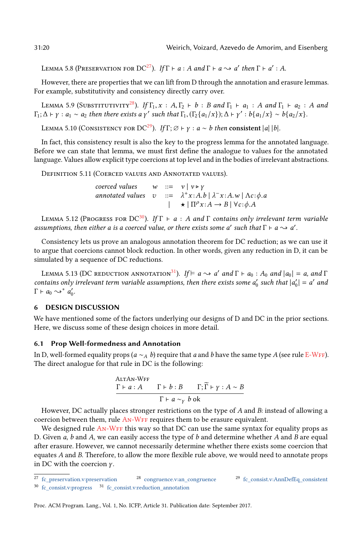LEMMA 5.8 (PRESERVATION FOR DC<sup>[27](#page-1-0)</sup>). If  $\Gamma \vdash a : A$  and  $\Gamma \vdash a \leadsto a'$  then  $\Gamma \vdash a' : A$ .

However, there are properties that we can lift from D through the annotation and erasure lemmas. For example, substitutivity and consistency directly carry over.

LEMMA 5.9 (SUBSTITUTIVITY<sup>[28](#page-1-0)</sup>). If  $\Gamma_1$ ,  $x : A, \Gamma_2 \vdash b : B$  and  $\Gamma_1 \vdash a_1 : A$  and  $\Gamma_1 \vdash a_2 : A$  and  $\Gamma_1$ ;  $\Delta \vdash \gamma : a_1 \sim a_2$  then there exists a  $\gamma'$  such that  $\Gamma_1$ ,  $(\Gamma_2\{a_1/x\})$ ;  $\Delta \vdash \gamma' : b\{a_1/x\} \sim b\{a_2/x\}$ .

LEMMA 5.10 (CONSISTENCY FOR DC<sup>[29](#page-1-0)</sup>). If  $\Gamma$ ;  $\varnothing \vdash \gamma : a \sim b$  then consistent |a| |b|.

In fact, this consistency result is also the key to the progress lemma for the annotated language. Before we can state that lemma, we must first define the analogue to values for the annotated language. Values allow explicit type coercions at top level and in the bodies of irrelevant abstractions.

DEFINITION 5.11 (COERCED VALUES AND ANNOTATED VALUES).

coerced values  $w ::= v | v \triangleright y$ annotated values  $v ::= \lambda^+ x : A \cdot b \mid \lambda^- x : A \cdot w \mid \Lambda c : \phi \cdot a$  $|\;\;\; \star \mid \Pi^{\rho} x : A \rightarrow B \mid \forall c : \phi \ldotp A$ 

LEMMA 5.12 (PROGRESS FOR  $DC^{30}$  $DC^{30}$  $DC^{30}$ ). If  $\Gamma \vdash a : A$  and  $\Gamma$  contains only irrelevant term variable assumptions, then either a is a coerced value, or there exists some a' such that  $\Gamma \vdash a \leadsto a'$ .

Consistency lets us prove an analogous annotation theorem for DC reduction; as we can use it to argue that coercions cannot block reduction. In other words, given any reduction in D, it can be simulated by a sequence of DC reductions.

LEMMA 5.13 (DC REDUCTION ANNOTATION<sup>[31](#page-1-0)</sup>). If  $\vDash a \leadsto a'$  and  $\Gamma \vdash a_0 : A_0$  and  $|a_0| = a$ , and  $\Gamma$ contains only irrelevant term variable assumptions, then there exists some  $a'_0$  such that  $|a'_0| = a'$  and  $\Gamma \vdash a_0 \leadsto^* a'_0.$ 

# 6 DESIGN DISCUSSION

We have mentioned some of the factors underlying our designs of D and DC in the prior sections. Here, we discuss some of these design choices in more detail.

# 6.1 Prop Well-formedness and Annotation

In D, well-formed equality props (a  $\sim_A b$ ) require that a and b have the same type A (see rule E-WFF). The direct analogue for that rule in DC is the following:

$$
\frac{\text{AtrAn-WFF}}{\Gamma \vdash a:A \quad \Gamma \vdash b:B \quad \Gamma;\widetilde{\Gamma} \vdash \gamma:A \sim B}{\Gamma \vdash a \sim_{\gamma} b \text{ ok}}
$$

However, DC actually places stronger restrictions on the type of A and B: instead of allowing a coercion between them, rule  $A_N-WFF$  requires them to be erasure equivalent.

We designed rule  $A_N$ -WFF this way so that DC can use the same syntax for equality props as D. Given  $a$ ,  $b$  and  $A$ , we can easily access the type of  $b$  and determine whether  $A$  and  $B$  are equal after erasure. However, we cannot necessarily determine whether there exists some coercion that equates A and B. Therefore, to allow the more flexible rule above, we would need to annotate props in DC with the coercion  $\gamma$ .

<sup>&</sup>lt;sup>27</sup> [fc\\_preservation.v:preservation](fc_preservation.v: preservation) <sup>28</sup> [congruence.v:an\\_congruence](congruence.v: an_congruence) <sup>29</sup> [fc\\_consist.v:AnnDefEq\\_consistent](fc_consist.v: AnnDefEq_consistent) <sup>30</sup> [fc\\_consist.v:progress](fc_consist.v: progress) <sup>31</sup> [fc\\_consist.v:reduction\\_annotation](fc_consist.v:reduction_annotation)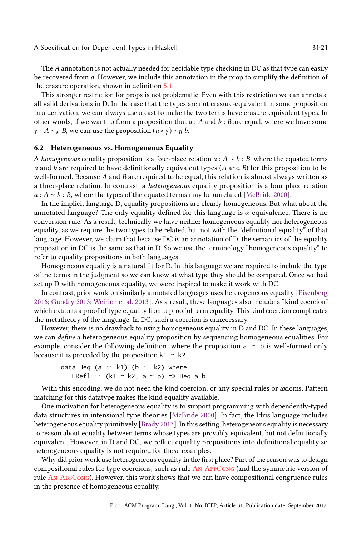The A annotation is not actually needed for decidable type checking in DC as that type can easily be recovered from a. However, we include this annotation in the prop to simplify the definition of the erasure operation, shown in definition [5.1.](#page-14-2)

This stronger restriction for props is not problematic. Even with this restriction we can annotate all valid derivations in D. In the case that the types are not erasure-equivalent in some proposition in a derivation, we can always use a cast to make the two terms have erasure-equivalent types. In other words, if we want to form a proposition that  $a : A$  and  $b : B$  are equal, where we have some  $\gamma$  :  $A \sim_{\star} B$ , we can use the proposition  $(a \triangleright \gamma) \sim_{B} b$ .

#### <span id="page-21-0"></span>6.2 Heterogeneous vs. Homogeneous Equality

A homogeneous equality proposition is a four-place relation  $a : A \sim b : B$ , where the equated terms a and b are required to have definitionally equivalent types  $(A \text{ and } B)$  for this proposition to be well-formed. Because A and B are required to be equal, this relation is almost always written as a three-place relation. In contrast, a heterogeneous equality proposition is a four place relation  $a : A \sim b : B$ , where the types of the equated terms may be unrelated [\[McBride 2000\]](#page-28-7).

In the implicit language D, equality propositions are clearly homogeneous. But what about the annotated language? The only equality defined for this language is α-equivalence. There is no conversion rule. As a result, technically we have neither homogeneous equality nor heterogeneous equality, as we require the two types to be related, but not with the "definitional equality" of that language. However, we claim that because DC is an annotation of D, the semantics of the equality proposition in DC is the same as that in D. So we use the terminology "homogeneous equality" to refer to equality propositions in both languages.

Homogeneous equality is a natural fit for D. In this language we are required to include the type of the terms in the judgment so we can know at what type they should be compared. Once we had set up D with homogeneous equality, we were inspired to make it work with DC.

In contrast, prior work on similarly annotated languages uses heterogeneous equality [\[Eisenberg](#page-28-5) [2016;](#page-28-5) [Gundry 2013;](#page-28-6) [Weirich et al.](#page-29-5) [2013\]](#page-29-5). As a result, these languages also include a "kind coercion" which extracts a proof of type equality from a proof of term equality. This kind coercion complicates the metatheory of the language. In DC, such a coercion is unnecessary.

However, there is no drawback to using homogeneous equality in D and DC. In these languages, we can *define* a heterogeneous equality proposition by sequencing homogeneous equalities. For example, consider the following definition, where the proposition  $a \sim b$  is well-formed only because it is preceded by the proposition k1  $\sim$  k2.

data Heq  $(a :: k1)$   $(b :: k2)$  where HRefl ::  $(k1 \sim k2, a \sim b)$  => Heq a b

With this encoding, we do not need the kind coercion, or any special rules or axioms. Pattern matching for this datatype makes the kind equality available.

One motivation for heterogeneous equality is to support programming with dependently-typed data structures in intensional type theories [\[McBride 2000\]](#page-28-7). In fact, the Idris language includes heterogeneous equality primitively [\[Brady 2013\]](#page-27-7). In this setting, heterogeneous equality is necessary to reason about equality between terms whose types are provably equivalent, but not definitionally equivalent. However, in D and DC, we reflect equality propositions into definitional equality so heterogeneous equality is not required for those examples.

Why did prior work use heterogeneous equality in the first place? Part of the reason was to design compositional rules for type coercions, such as rule [An-AppCong](#page-16-2) (and the symmetric version of rule [An-AbsCong](#page-16-5)). However, this work shows that we can have compositional congruence rules in the presence of homogeneous equality.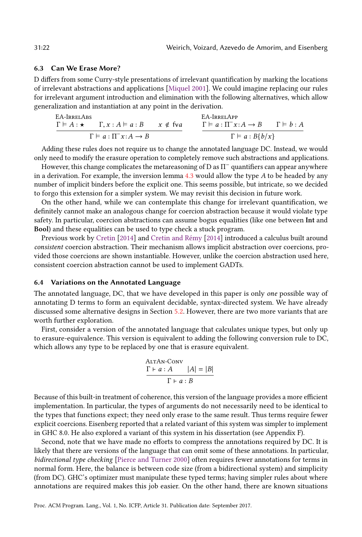#### <span id="page-22-1"></span>6.3 Can We Erase More?

D differs from some Curry-style presentations of irrelevant quantification by marking the locations of irrelevant abstractions and applications [\[Miquel 2001\]](#page-28-3). We could imagine replacing our rules for irrelevant argument introduction and elimination with the following alternatives, which allow generalization and instantiation at any point in the derivation.

$$
\frac{\text{EA-IrreizAbs}}{\Gamma \models A : \star \qquad \Gamma, x : A \models a : B \qquad x \notin f \lor a} \qquad \frac{\text{EA-IrreizAPP}}{\Gamma \models a : \Pi^- x : A \to B \qquad \Gamma \models b : A}
$$
\n
$$
\frac{\text{EA-IrreizAPP}}{\Gamma \models a : \Pi^+ x : A \to B \qquad \Gamma \models b : A}
$$

Adding these rules does not require us to change the annotated language DC. Instead, we would only need to modify the erasure operation to completely remove such abstractions and applications.

However, this change complicates the metareasoning of D as Π <sup>−</sup> quantifiers can appear anywhere in a derivation. For example, the inversion lemma  $4.3$  would allow the type  $A$  to be headed by any number of implicit binders before the explicit one. This seems possible, but intricate, so we decided to forgo this extension for a simpler system. We may revisit this decision in future work.

On the other hand, while we can contemplate this change for irrelevant quantification, we definitely cannot make an analogous change for coercion abstraction because it would violate type safety. In particular, coercion abstractions can assume bogus equalities (like one between Int and Bool) and these equalities can be used to type check a stuck program.

Previous work by [Cretin](#page-27-8) [\[2014\]](#page-27-8) and [Cretin and Rémy](#page-28-15) [\[2014\]](#page-28-15) introduced a calculus built around consistent coercion abstraction. Their mechanism allows implicit abstraction over coercions, provided those coercions are shown instantiable. However, unlike the coercion abstraction used here, consistent coercion abstraction cannot be used to implement GADTs.

#### <span id="page-22-0"></span>6.4 Variations on the Annotated Language

The annotated language, DC, that we have developed in this paper is only one possible way of annotating D terms to form an equivalent decidable, syntax-directed system. We have already discussed some alternative designs in Section [5.2.](#page-15-6) However, there are two more variants that are worth further exploration.

First, consider a version of the annotated language that calculates unique types, but only up to erasure-equivalence. This version is equivalent to adding the following conversion rule to DC, which allows any type to be replaced by one that is erasure equivalent.

$$
\frac{\text{AtrAn-Conv}}{\Gamma \vdash a : A} \quad |A| = |B|
$$

$$
\frac{\Gamma \vdash a : B}{\Gamma \vdash a : B}
$$

Because of this built-in treatment of coherence, this version of the language provides a more efficient implementation. In particular, the types of arguments do not necessarily need to be identical to the types that functions expect; they need only erase to the same result. Thus terms require fewer explicit coercions. Eisenberg reported that a related variant of this system was simpler to implement in GHC 8.0. He also explored a variant of this system in his dissertation (see Appendix F).

Second, note that we have made no efforts to compress the annotations required by DC. It is likely that there are versions of the language that can omit some of these annotations. In particular, bidirectional type checking [\[Pierce and Turner 2000\]](#page-28-16) often requires fewer annotations for terms in normal form. Here, the balance is between code size (from a bidirectional system) and simplicity (from DC). GHC's optimizer must manipulate these typed terms; having simpler rules about where annotations are required makes this job easier. On the other hand, there are known situations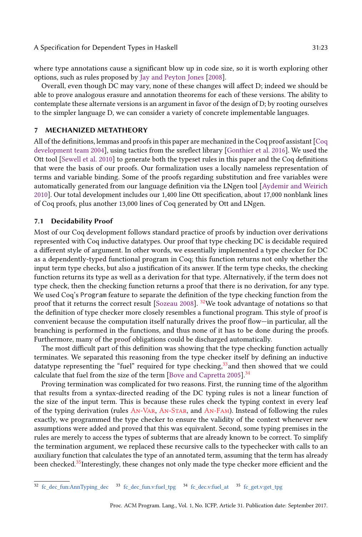where type annotations cause a significant blow up in code size, so it is worth exploring other options, such as rules proposed by [Jay and Peyton Jones](#page-28-17) [\[2008\]](#page-28-17).

Overall, even though DC may vary, none of these changes will affect D; indeed we should be able to prove analogous erasure and annotation theorems for each of these versions. The ability to contemplate these alternate versions is an argument in favor of the design of D; by rooting ourselves to the simpler language D, we can consider a variety of concrete implementable languages.

# <span id="page-23-0"></span>7 MECHANIZED METATHEORY

All of the definitions, lemmas and proofs in this paper are mechanized in the Coq proof assistant [\[Coq](#page-27-3) [development team 2004\]](#page-27-3), using tactics from the ssreflect library [\[Gonthier et al.](#page-28-18) [2016\]](#page-28-18). We used the Ott tool [\[Sewell et al.](#page-29-9) [2010\]](#page-29-9) to generate both the typeset rules in this paper and the Coq definitions that were the basis of our proofs. Our formalization uses a locally nameless representation of terms and variable binding. Some of the proofs regarding substitution and free variables were automatically generated from our language definition via the LNgen tool [\[Aydemir and Weirich](#page-27-9) [2010\]](#page-27-9). Our total development includes our 1,400 line Ott specification, about 17,000 nonblank lines of Coq proofs, plus another 13,000 lines of Coq generated by Ott and LNgen.

# 7.1 Decidability Proof

Most of our Coq development follows standard practice of proofs by induction over derivations represented with Coq inductive datatypes. Our proof that type checking DC is decidable required a different style of argument. In other words, we essentially implemented a type checker for DC as a dependently-typed functional program in Coq; this function returns not only whether the input term type checks, but also a justification of its answer. If the term type checks, the checking function returns its type as well as a derivation for that type. Alternatively, if the term does not type check, then the checking function returns a proof that there is no derivation, for any type. We used Coq's Program feature to separate the definition of the type checking function from the proof that it returns the correct result [\[Sozeau 2008\]](#page-29-10). [32](#page-1-0)We took advantage of notations so that the definition of type checker more closely resembles a functional program. This style of proof is convenient because the computation itself naturally drives the proof flow—in particular, all the branching is performed in the functions, and thus none of it has to be done during the proofs. Furthermore, many of the proof obligations could be discharged automatically.

The most difficult part of this definition was showing that the type checking function actually terminates. We separated this reasoning from the type checker itself by defining an inductive datatype representing the "fuel" required for type checking, $33$  and then showed that we could calculate that fuel from the size of the term [\[Bove and Capretta 2005\]](#page-27-10).[34](#page-1-0)

Proving termination was complicated for two reasons. First, the running time of the algorithm that results from a syntax-directed reading of the DC typing rules is not a linear function of the size of the input term. This is because these rules check the typing context in every leaf of the typing derivation (rules [An-Var](#page-15-7), [An-Star](#page-15-8), and [An-Fam](#page-15-9)). Instead of following the rules exactly, we programmed the type checker to ensure the validity of the context whenever new assumptions were added and proved that this was equivalent. Second, some typing premises in the rules are merely to access the types of subterms that are already known to be correct. To simplify the termination argument, we replaced these recursive calls to the typechecker with calls to an auxiliary function that calculates the type of an annotated term, assuming that the term has already been checked.[35](#page-1-0)Interestingly, these changes not only made the type checker more efficient and the

<sup>32</sup> [fc\\_dec\\_fun:AnnTyping\\_dec](fc_dec_fun:AnnTyping_dec) <sup>33</sup> [fc\\_dec\\_fun.v:fuel\\_tpg](fc_dec_fun.v:fuel_tpg) <sup>34</sup> [fc\\_dec.v:fuel\\_at](fc_dec.v:fuel_at) <sup>35</sup> [fc\\_get.v:get\\_tpg](fc_get.v:get_tpg)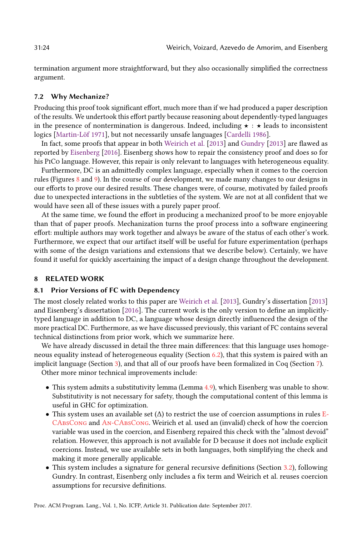termination argument more straightforward, but they also occasionally simplified the correctness argument.

#### <span id="page-24-1"></span>7.2 Why Mechanize?

Producing this proof took significant effort, much more than if we had produced a paper description of the results. We undertook this effort partly because reasoning about dependently-typed languages in the presence of nontermination is dangerous. Indeed, including  $\star : \star$  leads to inconsistent logics [\[Martin-Löf 1971\]](#page-28-19), but not necessarily unsafe languages [\[Cardelli 1986\]](#page-27-11).

In fact, some proofs that appear in both [Weirich et al.](#page-29-5) [\[2013\]](#page-29-5) and [Gundry](#page-28-6) [\[2013\]](#page-28-6) are flawed as reported by [Eisenberg](#page-28-5) [\[2016\]](#page-28-5). Eisenberg shows how to repair the consistency proof and does so for his PiCo language. However, this repair is only relevant to languages with heterogeneous equality.

Furthermore, DC is an admittedly complex language, especially when it comes to the coercion rules (Figures [8](#page-16-0) and [9\)](#page-17-0). In the course of our development, we made many changes to our designs in our efforts to prove our desired results. These changes were, of course, motivated by failed proofs due to unexpected interactions in the subtleties of the system. We are not at all confident that we would have seen all of these issues with a purely paper proof.

At the same time, we found the effort in producing a mechanized proof to be more enjoyable than that of paper proofs. Mechanization turns the proof process into a software engineering effort: multiple authors may work together and always be aware of the status of each other's work. Furthermore, we expect that our artifact itself will be useful for future experimentation (perhaps with some of the design variations and extensions that we describe below). Certainly, we have found it useful for quickly ascertaining the impact of a design change throughout the development.

# <span id="page-24-2"></span>8 RELATED WORK

# <span id="page-24-0"></span>8.1 Prior Versions of FC with Dependency

The most closely related works to this paper are [Weirich et al.](#page-29-5) [\[2013\]](#page-29-5), Gundry's dissertation [\[2013\]](#page-28-6) and Eisenberg's dissertation [\[2016\]](#page-28-5). The current work is the only version to define an implicitlytyped language in addition to DC, a language whose design directly influenced the design of the more practical DC. Furthermore, as we have discussed previously, this variant of FC contains several technical distinctions from prior work, which we summarize here.

We have already discussed in detail the three main differences: that this language uses homogeneous equality instead of heterogeneous equality (Section [6.2\)](#page-21-0), that this system is paired with an implicit language (Section [3\)](#page-6-0), and that all of our proofs have been formalized in Coq (Section [7\)](#page-23-0).

Other more minor technical improvements include:

- This system admits a substitutivity lemma (Lemma [4.9\)](#page-13-1), which Eisenberg was unable to show. Substitutivity is not necessary for safety, though the computational content of this lemma is useful in GHC for optimization.
- This system uses an available set  $(\Delta)$  to restrict the use of coercion assumptions in rules [E-](#page-10-10)[CAbsCong](#page-10-10) and [An-CAbsCong](#page-16-1). Weirich et al. used an (invalid) check of how the coercion variable was used in the coercion, and Eisenberg repaired this check with the "almost devoid" relation. However, this approach is not available for D because it does not include explicit coercions. Instead, we use available sets in both languages, both simplifying the check and making it more generally applicable.
- This system includes a signature for general recursive definitions (Section [3.2\)](#page-7-2), following Gundry. In contrast, Eisenberg only includes a fix term and Weirich et al. reuses coercion assumptions for recursive definitions.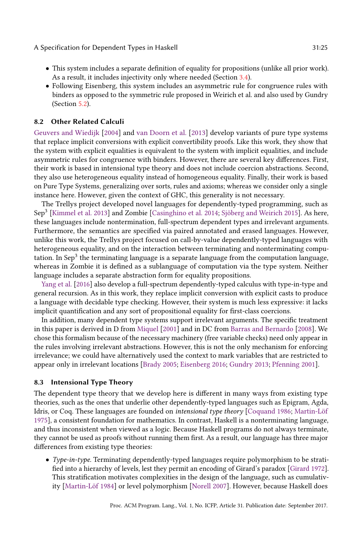- This system includes a separate definition of equality for propositions (unlike all prior work). As a result, it includes injectivity only where needed (Section [3.4\)](#page-11-4).
- Following Eisenberg, this system includes an asymmetric rule for congruence rules with binders as opposed to the symmetric rule proposed in Weirich et al. and also used by Gundry (Section [5.2\)](#page-15-6).

# 8.2 Other Related Calculi

[Geuvers and Wiedijk](#page-28-20) [\[2004\]](#page-28-20) and [van Doorn et al.](#page-29-11) [\[2013\]](#page-29-11) develop variants of pure type systems that replace implicit conversions with explicit convertibility proofs. Like this work, they show that the system with explicit equalities is equivalent to the system with implicit equalities, and include asymmetric rules for congruence with binders. However, there are several key differences. First, their work is based in intensional type theory and does not include coercion abstractions. Second, they also use heterogeneous equality instead of homogeneous equality. Finally, their work is based on Pure Type Systems, generalizing over sorts, rules and axioms; whereas we consider only a single instance here. However, given the context of GHC, this generality is not necessary.

The Trellys project developed novel languages for dependently-typed programming, such as Sep<sup>3</sup> [\[Kimmel et al.](#page-28-21) [2013\]](#page-28-21) and Zombie [\[Casinghino et al.](#page-27-12) [2014;](#page-27-12) [Sjöberg and Weirich 2015\]](#page-29-12). As here, these languages include nontermination, full-spectrum dependent types and irrelevant arguments. Furthermore, the semantics are specified via paired annotated and erased languages. However, unlike this work, the Trellys project focused on call-by-value dependently-typed languages with heterogeneous equality, and on the interaction between terminating and nonterminating computation. In Sep $^3$  the terminating language is a separate language from the computation language, whereas in Zombie it is defined as a sublanguage of computation via the type system. Neither language includes a separate abstraction form for equality propositions.

[Yang et al.](#page-29-13) [\[2016\]](#page-29-13) also develop a full-spectrum dependently-typed calculus with type-in-type and general recursion. As in this work, they replace implicit conversion with explicit casts to produce a language with decidable type checking. However, their system is much less expressive: it lacks implicit quantification and any sort of propositional equality for first-class coercions.

In addition, many dependent type systems support irrelevant arguments. The specific treatment in this paper is derived in D from [Miquel](#page-28-3) [\[2001\]](#page-28-3) and in DC from [Barras and Bernardo](#page-27-2) [\[2008\]](#page-27-2). We chose this formalism because of the necessary machinery (free variable checks) need only appear in the rules involving irrelevant abstractions. However, this is not the only mechanism for enforcing irrelevance; we could have alternatively used the context to mark variables that are restricted to appear only in irrelevant locations [\[Brady 2005;](#page-27-13) [Eisenberg 2016;](#page-28-5) [Gundry 2013;](#page-28-6) [Pfenning 2001\]](#page-28-4).

#### 8.3 Intensional Type Theory

The dependent type theory that we develop here is different in many ways from existing type theories, such as the ones that underlie other dependently-typed languages such as Epigram, Agda, Idris, or Coq. These languages are founded on intensional type theory [\[Coquand 1986;](#page-27-14) [Martin-Löf](#page-28-22) [1975\]](#page-28-22), a consistent foundation for mathematics. In contrast, Haskell is a nonterminating language, and thus inconsistent when viewed as a logic. Because Haskell programs do not always terminate, they cannot be used as proofs without running them first. As a result, our language has three major differences from existing type theories:

• Type-in-type. Terminating dependently-typed languages require polymorphism to be stratified into a hierarchy of levels, lest they permit an encoding of Girard's paradox [\[Girard 1972\]](#page-28-23). This stratification motivates complexities in the design of the language, such as cumulativity [\[Martin-Löf 1984\]](#page-28-14) or level polymorphism [\[Norell 2007\]](#page-28-24). However, because Haskell does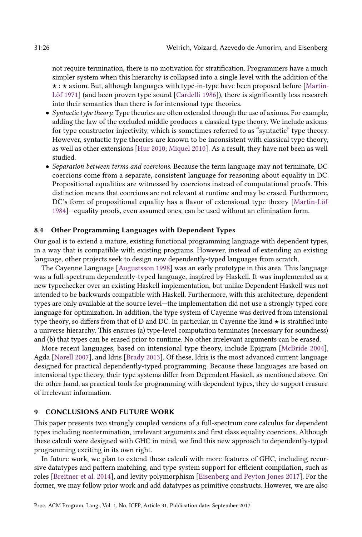not require termination, there is no motivation for stratification. Programmers have a much simpler system when this hierarchy is collapsed into a single level with the addition of the **★ : ★ axiom. But, although languages with type-in-type have been proposed before [\[Martin-](#page-28-19)**[Löf 1971\]](#page-28-19) (and been proven type sound [\[Cardelli 1986\]](#page-27-11)), there is significantly less research into their semantics than there is for intensional type theories.

- Syntactic type theory. Type theories are often extended through the use of axioms. For example, adding the law of the excluded middle produces a classical type theory. We include axioms for type constructor injectivity, which is sometimes referred to as "syntactic" type theory. However, syntactic type theories are known to be inconsistent with classical type theory, as well as other extensions [\[Hur 2010;](#page-28-25) [Miquel 2010\]](#page-28-26). As a result, they have not been as well studied.
- Separation between terms and coercions. Because the term language may not terminate, DC coercions come from a separate, consistent language for reasoning about equality in DC. Propositional equalities are witnessed by coercions instead of computational proofs. This distinction means that coercions are not relevant at runtime and may be erased. Furthermore, DC's form of propositional equality has a flavor of extensional type theory [\[Martin-Löf](#page-28-14) [1984\]](#page-28-14)–equality proofs, even assumed ones, can be used without an elimination form.

# 8.4 Other Programming Languages with Dependent Types

Our goal is to extend a mature, existing functional programming language with dependent types, in a way that is compatible with existing programs. However, instead of extending an existing language, other projects seek to design new dependently-typed languages from scratch.

The Cayenne Language [\[Augustsson 1998\]](#page-27-15) was an early prototype in this area. This language was a full-spectrum dependently-typed language, inspired by Haskell. It was implemented as a new typechecker over an existing Haskell implementation, but unlike Dependent Haskell was not intended to be backwards compatible with Haskell. Furthermore, with this architecture, dependent types are only available at the source level—the implementation did not use a strongly typed core language for optimization. In addition, the type system of Cayenne was derived from intensional type theory, so differs from that of D and DC. In particular, in Cayenne the kind  $\star$  is stratified into a universe hierarchy. This ensures (a) type-level computation terminates (necessary for soundness) and (b) that types can be erased prior to runtime. No other irrelevant arguments can be erased.

More recent languages, based on intensional type theory, include Epigram [\[McBride 2004\]](#page-28-27), Agda [\[Norell 2007\]](#page-28-24), and Idris [\[Brady 2013\]](#page-27-7). Of these, Idris is the most advanced current language designed for practical dependently-typed programming. Because these languages are based on intensional type theory, their type systems differ from Dependent Haskell, as mentioned above. On the other hand, as practical tools for programming with dependent types, they do support erasure of irrelevant information.

#### <span id="page-26-0"></span>9 CONCLUSIONS AND FUTURE WORK

This paper presents two strongly coupled versions of a full-spectrum core calculus for dependent types including nontermination, irrelevant arguments and first class equality coercions. Although these calculi were designed with GHC in mind, we find this new approach to dependently-typed programming exciting in its own right.

In future work, we plan to extend these calculi with more features of GHC, including recursive datatypes and pattern matching, and type system support for efficient compilation, such as roles [\[Breitner et al.](#page-27-6) [2014\]](#page-27-6), and levity polymorphism [\[Eisenberg and Peyton Jones 2017\]](#page-28-28). For the former, we may follow prior work and add datatypes as primitive constructs. However, we are also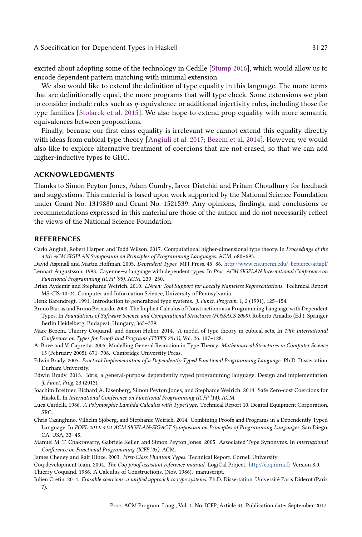excited about adopting some of the technology in Cedille [\[Stump 2016\]](#page-29-14), which would allow us to encode dependent pattern matching with minimal extension.

We also would like to extend the definition of type equality in this language. The more terms that are definitionally equal, the more programs that will type check. Some extensions we plan to consider include rules such as  $\eta$ -equivalence or additional injectivity rules, including those for type families [\[Stolarek et al.](#page-29-15) [2015\]](#page-29-15). We also hope to extend prop equality with more semantic equivalences between propositions.

Finally, because our first-class equality is irrelevant we cannot extend this equality directly with ideas from cubical type theory [\[Angiuli et al.](#page-27-16) [2017;](#page-27-16) [Bezem et al.](#page-27-17) [2014\]](#page-27-17). However, we would also like to explore alternative treatment of coercions that are not erased, so that we can add higher-inductive types to GHC.

# ACKNOWLEDGMENTS

Thanks to Simon Peyton Jones, Adam Gundry, Iavor Diatchki and Pritam Choudhury for feedback and suggestions. This material is based upon work supported by the National Science Foundation under Grant No. 1319880 and Grant No. 1521539. Any opinions, findings, and conclusions or recommendations expressed in this material are those of the author and do not necessarily reflect the views of the National Science Foundation.

# **REFERENCES**

- <span id="page-27-16"></span>Carlo Angiuli, Robert Harper, and Todd Wilson. 2017. Computational higher-dimensional type theory. In Proceedings of the 44th ACM SIGPLAN Symposium on Principles of Programming Languages. ACM, 680-693.
- <span id="page-27-15"></span><span id="page-27-5"></span>David Aspinall and Martin Hoffman. 2005. Dependent Types. MIT Press, 45-86. <http://www.cis.upenn.edu/~bcpierce/attapl/> Lennart Augustsson. 1998. Cayenne-a language with dependent types. In Proc. ACM SIGPLAN International Conference on Functional Programming (ICFP '98). ACM, 239-250.
- <span id="page-27-9"></span>Brian Aydemir and Stephanie Weirich. 2010. LNgen: Tool Support for Locally Nameless Representations. Technical Report MS-CIS-10-24. Computer and Information Science, University of Pennsylvania.
- <span id="page-27-4"></span>Henk Barendregt. 1991. Introduction to generalized type systems. J. Funct. Program. 1, 2 (1991), 125-154.
- <span id="page-27-2"></span>Bruno Barras and Bruno Bernardo. 2008. The Implicit Calculus of Constructions as a Programming Language with Dependent Types. In Foundations of Software Science and Computational Structures (FOSSACS 2008), Roberto Amadio (Ed.). Springer Berlin Heidelberg, Budapest, Hungary, 365-379.
- <span id="page-27-17"></span>Marc Bezem, Thierry Coquand, and Simon Huber. 2014. A model of type theory in cubical sets. In 19th International Conference on Types for Proofs and Programs (TYPES 2013), Vol. 26. 107-128.
- <span id="page-27-10"></span>A. Bove and V. Capretta. 2005. Modelling General Recursion in Type Theory. Mathematical Structures in Computer Science 15 (February 2005), 671-708. Cambridge University Press.
- <span id="page-27-13"></span>Edwin Brady. 2005. Practical Implementation of a Dependently Typed Functional Programming Language. Ph.D. Dissertation. Durham University.
- <span id="page-27-7"></span>Edwin Brady. 2013. Idris, a general-purpose dependently typed programming language: Design and implementation. J. Funct. Prog. 23 (2013).
- <span id="page-27-6"></span>Joachim Breitner, Richard A. Eisenberg, Simon Peyton Jones, and Stephanie Weirich. 2014. Safe Zero-cost Coercions for Haskell. In International Conference on Functional Programming (ICFP '14). ACM.
- <span id="page-27-11"></span>Luca Cardelli. 1986. A Polymorphic Lambda Calculus with Type:Type. Technical Report 10. Degital Equipment Corporation, SRC.
- <span id="page-27-12"></span>Chris Casinghino, Vilhelm Sjöberg, and Stephanie Weirich. 2014. Combining Proofs and Programs in a Dependently Typed Language. In POPL 2014: 41st ACM SIGPLAN-SIGACT Symposium on Principles of Programming Languages. San Diego, CA, USA, 33-45.
- <span id="page-27-1"></span>Manuel M. T. Chakravarty, Gabriele Keller, and Simon Peyton Jones. 2005. Associated Type Synonyms. In International Conference on Functional Programming (ICFP '05). ACM.
- <span id="page-27-0"></span>James Cheney and Ralf Hinze. 2003. First-Class Phantom Types. Technical Report. Cornell University.

<span id="page-27-14"></span><span id="page-27-3"></span>Coq development team. 2004. The Coq proof assistant reference manual. LogiCal Project. <http://coq.inria.fr> Version 8.0. Thierry Coquand. 1986. A Calculus of Constructions. (Nov. 1986). manuscript.

<span id="page-27-8"></span>Julien Cretin. 2014. Erasable coercions: a unified approach to type systems. Ph.D. Dissertation. Université Paris Diderot (Paris 7).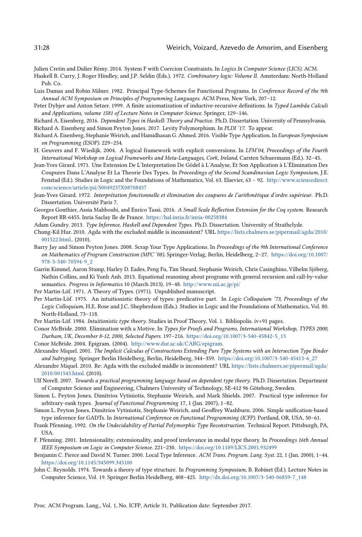<span id="page-28-15"></span>Julien Cretin and Didier Rémy. 2014. System F with Coercion Constraints. In Logics In Computer Science (LICS). ACM.

- <span id="page-28-12"></span>Haskell B. Curry, J. Roger Hindley, and J.P. Seldin (Eds.). 1972. Combinatory logic: Volume II. Amsterdam: North-Holland Pub. Co.
- <span id="page-28-8"></span>Luis Damas and Robin Milner. 1982. Principal Type-Schemes for Functional Programs. In Conference Record of the 9th Annual ACM Symposium on Principles of Programming Languages. ACM Press, New York, 207-12.
- <span id="page-28-13"></span>Peter Dybjer and Anton Setzer. 1999. A finite axiomatization of inductive-recursive definitions. In Typed Lambda Calculi and Applications, volume 1581 of Lecture Notes in Computer Science. Springer, 129-146.

<span id="page-28-28"></span><span id="page-28-5"></span>Richard A. Eisenberg. 2016. Dependent Types in Haskell: Theory and Practice. Ph.D. Dissertation. University of Pennsylvania. Richard A. Eisenberg and Simon Peyton Jones. 2017. Levity Polymorphism. In PLDI '17. To appear.

- <span id="page-28-10"></span>Richard A. Eisenberg, Stephanie Weirich, and Hamidhasan G. Ahmed. 2016. Visible Type Application. In European Symposium on Programming (ESOP). 229-254.
- <span id="page-28-20"></span>H. Geuvers and F. Wiedijk. 2004. A logical framework with explicit conversions. In LFM'04, Proceedings of the Fourth International Workshop on Logical Frameworks and Meta-Languages, Cork, Ireland, Carsten Schuermann (Ed.). 32-45.
- <span id="page-28-1"></span>Jean-Yves Girard. 1971. Une Extension De L'Interpretation De Gödel à L'Analyse, Et Son Application à L'Élimination Des Coupures Dans L'Analyse Et La Theorie Des Types. In Proceedings of the Second Scandinavian Logic Symposium, J.E. Fenstad (Ed.). Studies in Logic and the Foundations of Mathematics, Vol. 63. Elsevier, 63 - 92. [http://www.sciencedirect.](http://www.sciencedirect.com/science/article/pii/S0049237X08708437) [com/science/article/pii/S0049237X08708437](http://www.sciencedirect.com/science/article/pii/S0049237X08708437)
- <span id="page-28-23"></span>Jean-Yves Girard. 1972. Interprétation fonctionnelle et élimination des coupures de l'arithmétique d'ordre supérieur. Ph.D. Dissertation. Université Paris 7.
- <span id="page-28-18"></span>Georges Gonthier, Assia Mahboubi, and Enrico Tassi. 2016. A Small Scale Reflection Extension for the Coq system. Research Report RR-6455. Inria Saclay Ile de France. <https://hal.inria.fr/inria-00258384>
- <span id="page-28-6"></span>Adam Gundry. 2013. Type Inference, Haskell and Dependent Types. Ph.D. Dissertation. University of Strathclyde.
- <span id="page-28-25"></span>Chung-Kil Hur. 2010. Agda with the excluded middle is inconsistent? URL [https://lists.chalmers.se/pipermail/agda/2010/](https://lists.chalmers.se/pipermail/agda/2010/001522.html) [001522.html.](https://lists.chalmers.se/pipermail/agda/2010/001522.html). (2010).
- <span id="page-28-17"></span>Barry Jay and Simon Peyton Jones. 2008. Scrap Your Type Applications. In Proceedings of the 9th International Conference on Mathematics of Program Construction (MPC '08). Springer-Verlag, Berlin, Heidelberg, 2-27. [https://doi.org/10.1007/](https://doi.org/10.1007/978-3-540-70594-9_2) [978-3-540-70594-9\\_2](https://doi.org/10.1007/978-3-540-70594-9_2)
- <span id="page-28-21"></span>Garrin Kimmel, Aaron Stump, Harley D. Eades, Peng Fu, Tim Sheard, Stephanie Weirich, Chris Casinghino, Vilhelm Sjöberg, Nathin Collins, and Ki Yunh Anh. 2013. Equational reasoning about programs with general recursion and call-by-value semantics. Progress in Informatics 10 (March 2013), 19–48. <http://www.nii.ac.jp/pi/>
- <span id="page-28-19"></span>Per Martin-Löf. 1971. A Theory of Types. (1971). Unpublished manuscript.
- <span id="page-28-22"></span>Per Martin-Löf. 1975. An intuitionistic theory of types: predicative part. In Logic Colloquium '73, Proceedings of the Logic Colloquium, H.E. Rose and J.C. Shepherdson (Eds.). Studies in Logic and the Foundations of Mathematics, Vol. 80. North-Holland, 73-118.
- <span id="page-28-14"></span>Per Martin-Löf. 1984. Intuitionistic type theory. Studies in Proof Theory, Vol. 1. Bibliopolis. iv+91 pages.
- <span id="page-28-7"></span>Conor McBride. 2000. Elimination with a Motive. In Types for Proofs and Programs, International Workshop, TYPES 2000, Durham, UK, December 8-12, 2000, Selected Papers. 197-216. [https://doi.org/10.1007/3-540-45842-5\\_13](https://doi.org/10.1007/3-540-45842-5_13)

<span id="page-28-27"></span>Conor McBride. 2004. Epigram. (2004). [http://www.dur.ac.uk/CARG/epigram.](http://www.dur.ac.uk/CARG/epigram)

- <span id="page-28-3"></span>Alexandre Miquel. 2001. The Implicit Calculus of Constructions Extending Pure Type Systems with an Intersection Type Binder and Subtyping. Springer Berlin Heidelberg, Berlin, Heidelberg, 344-359. [https://doi.org/10.1007/3-540-45413-6\\_27](https://doi.org/10.1007/3-540-45413-6_27)
- <span id="page-28-26"></span>Alexandre Miquel. 2010. Re: Agda with the excluded middle is inconsistent? URL [https://lists.chalmers.se/pipermail/agda/](https://lists.chalmers.se/pipermail/agda/2010/001543.html) [2010/001543.html.](https://lists.chalmers.se/pipermail/agda/2010/001543.html) (2010).
- <span id="page-28-24"></span>Ulf Norell. 2007. Towards a practical programming language based on dependent type theory. Ph.D. Dissertation. Department of Computer Science and Engineering, Chalmers University of Technology, SE-412 96 Göteborg, Sweden.
- <span id="page-28-9"></span>Simon L. Peyton Jones, Dimitrios Vytiniotis, Stephanie Weirich, and Mark Shields. 2007. Practical type inference for arbitrary-rank types. Journal of Functional Programming 17, 1 (Jan. 2007), 1-82.
- <span id="page-28-0"></span>Simon L. Peyton Jones, Dimitrios Vytiniotis, Stephanie Weirich, and Geoffrey Washburn. 2006. Simple unification-based type inference for GADTs. In International Conference on Functional Programming (ICFP). Portland, OR, USA, 50-61.
- <span id="page-28-11"></span>Frank Pfenning. 1992. On the Undecidability of Partial Polymorphic Type Reconstruction. Technical Report. Pittsburgh, PA, USA.
- <span id="page-28-4"></span>F. Pfenning. 2001. Intensionality, extensionality, and proof irrelevance in modal type theory. In Proceedings 16th Annual IEEE Symposium on Logic in Computer Science. 221-230. <https://doi.org/10.1109/LICS.2001.932499>
- <span id="page-28-16"></span>Benjamin C. Pierce and David N. Turner. 2000. Local Type Inference. ACM Trans. Program. Lang. Syst. 22, 1 (Jan. 2000), 1-44. <https://doi.org/10.1145/345099.345100>
- <span id="page-28-2"></span>John C. Reynolds. 1974. Towards a theory of type structure. In Programming Symposium, B. Robinet (Ed.). Lecture Notes in Computer Science, Vol. 19. Springer Berlin Heidelberg, 408-425. [http://dx.doi.org/10.1007/3-540-06859-7\\_148](http://dx.doi.org/10.1007/3-540-06859-7_148)